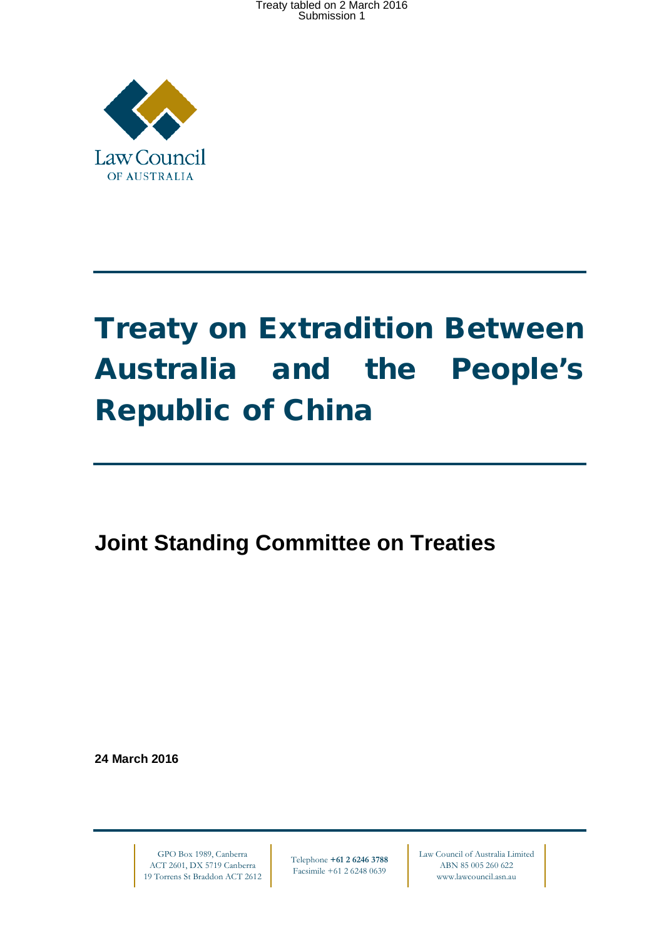Treaty tabled on 2 March 2016 Submission 1



# Treaty on Extradition Between Australia and the People's Republic of China

**Joint Standing Committee on Treaties**

**24 March 2016**

GPO Box 1989, Canberra ACT 2601, DX 5719 Canberra 19 Torrens St Braddon ACT 2612

Telephone **+61 2 6246 3788** Facsimile +61 2 6248 0639

Law Council of Australia Limited ABN 85 005 260 622 www.lawcouncil.asn.au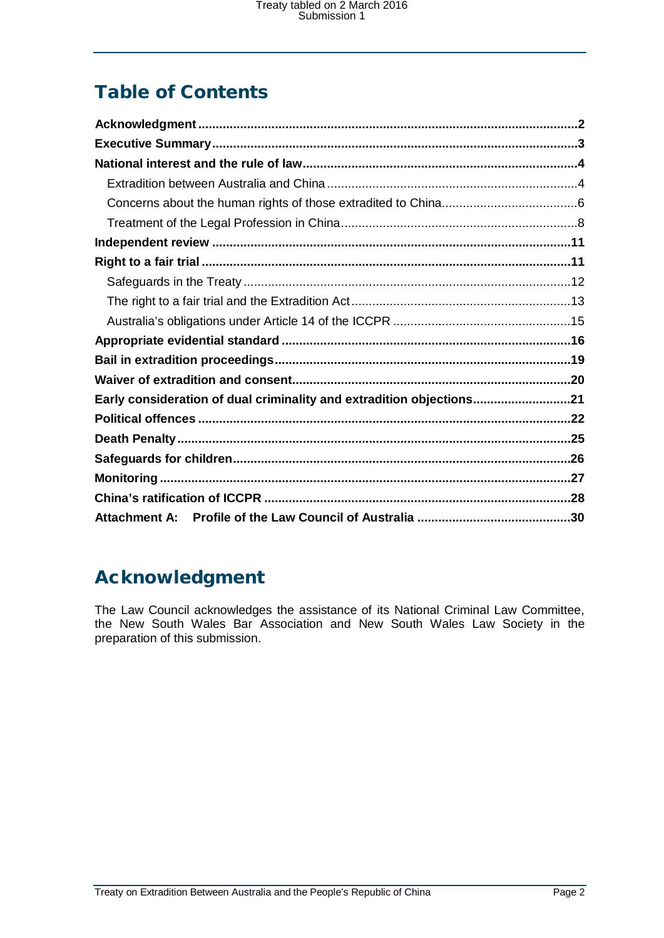# Table of Contents

| Early consideration of dual criminality and extradition objections21 |  |
|----------------------------------------------------------------------|--|
|                                                                      |  |
|                                                                      |  |
|                                                                      |  |
|                                                                      |  |
|                                                                      |  |
|                                                                      |  |

# <span id="page-1-0"></span>Acknowledgment

The Law Council acknowledges the assistance of its National Criminal Law Committee, the New South Wales Bar Association and New South Wales Law Society in the preparation of this submission.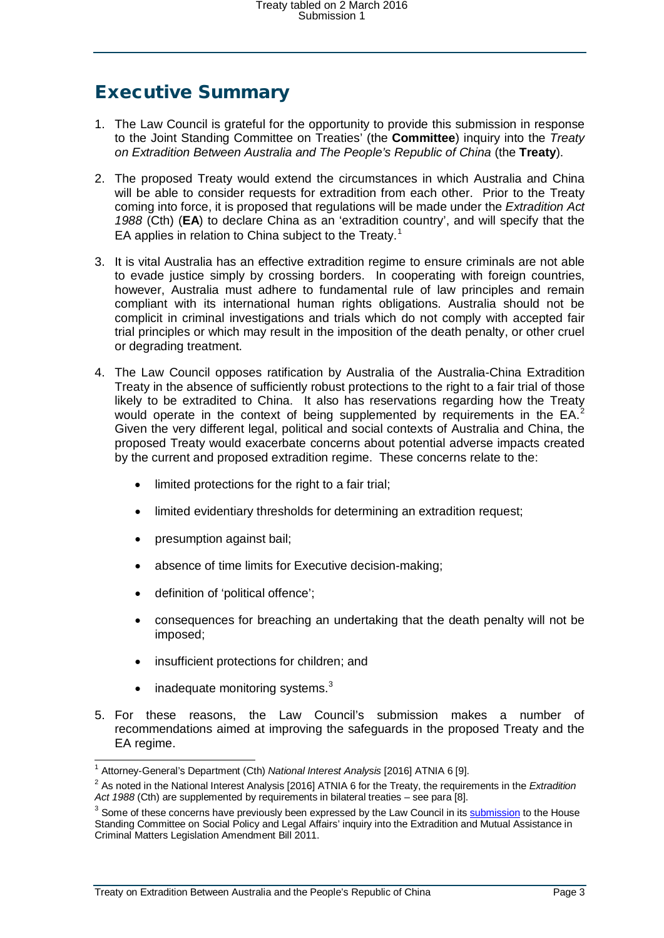### <span id="page-2-0"></span>Executive Summary

- 1. The Law Council is grateful for the opportunity to provide this submission in response to the Joint Standing Committee on Treaties' (the **Committee**) inquiry into the *Treaty on Extradition Between Australia and The People's Republic of China* (the **Treaty**).
- 2. The proposed Treaty would extend the circumstances in which Australia and China will be able to consider requests for extradition from each other. Prior to the Treaty coming into force, it is proposed that regulations will be made under the *Extradition Act 1988* (Cth) (**EA**) to declare China as an 'extradition country', and will specify that the EA applies in relation to China subject to the Treaty.<sup>[1](#page-2-1)</sup>
- 3. It is vital Australia has an effective extradition regime to ensure criminals are not able to evade justice simply by crossing borders. In cooperating with foreign countries, however, Australia must adhere to fundamental rule of law principles and remain compliant with its international human rights obligations. Australia should not be complicit in criminal investigations and trials which do not comply with accepted fair trial principles or which may result in the imposition of the death penalty, or other cruel or degrading treatment.
- 4. The Law Council opposes ratification by Australia of the Australia-China Extradition Treaty in the absence of sufficiently robust protections to the right to a fair trial of those likely to be extradited to China. It also has reservations regarding how the Treaty would operate in the context of being supplemented by requirements in the  $EA$ . Given the very different legal, political and social contexts of Australia and China, the proposed Treaty would exacerbate concerns about potential adverse impacts created by the current and proposed extradition regime. These concerns relate to the:
	- limited protections for the right to a fair trial;
	- limited evidentiary thresholds for determining an extradition request;
	- presumption against bail;
	- absence of time limits for Executive decision-making;
	- definition of 'political offence';
	- consequences for breaching an undertaking that the death penalty will not be imposed;
	- insufficient protections for children; and
	- $\bullet$  inadequate monitoring systems.<sup>[3](#page-2-3)</sup>
- 5. For these reasons, the Law Council's submission makes a number of recommendations aimed at improving the safeguards in the proposed Treaty and the EA regime.

 <sup>1</sup> Attorney-General's Department (Cth) *National Interest Analysis* [2016] ATNIA 6 [9].

<span id="page-2-2"></span><span id="page-2-1"></span><sup>2</sup> As noted in the National Interest Analysis [2016] ATNIA 6 for the Treaty, the requirements in the *Extradition Act 1988* (Cth) are supplemented by requirements in bilateral treaties – see para [8].

<span id="page-2-3"></span><sup>&</sup>lt;sup>3</sup> Some of these concerns have previously been expressed by the Law Council in it[s submission](http://www.lawcouncil.asn.au/lawcouncil/images/LCA-PDF/docs-2400-2499/2445%20Extradition%20and%20Mutual%20Assistance%20in%20Criminal%20Matters%20Legislation%20Amendment%20Bill%202011.pdf) to the House Standing Committee on Social Policy and Legal Affairs' inquiry into the Extradition and Mutual Assistance in Criminal Matters Legislation Amendment Bill 2011.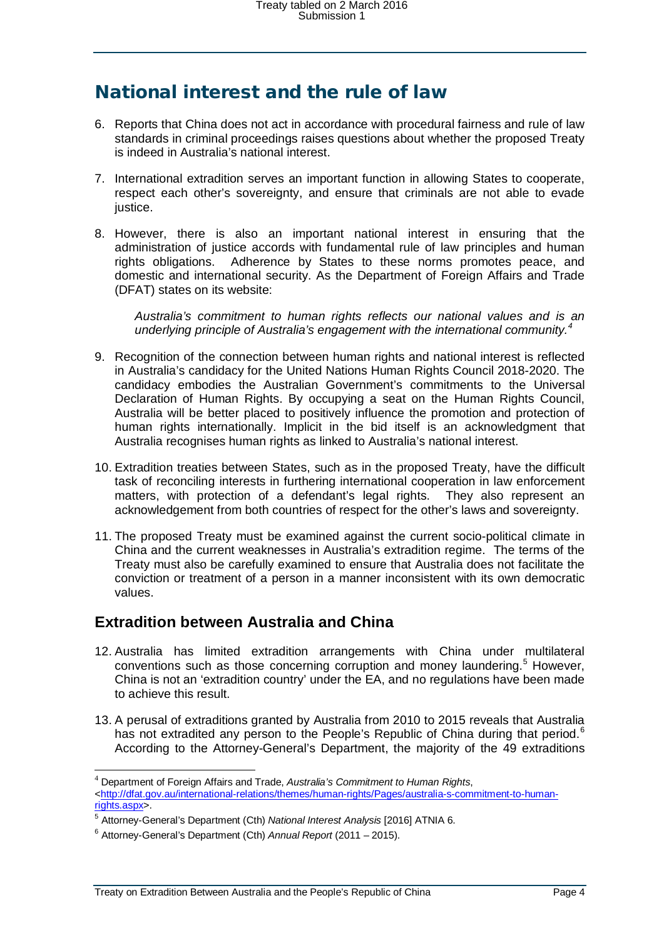### <span id="page-3-0"></span>National interest and the rule of law

- 6. Reports that China does not act in accordance with procedural fairness and rule of law standards in criminal proceedings raises questions about whether the proposed Treaty is indeed in Australia's national interest.
- 7. International extradition serves an important function in allowing States to cooperate, respect each other's sovereignty, and ensure that criminals are not able to evade justice.
- 8. However, there is also an important national interest in ensuring that the administration of justice accords with fundamental rule of law principles and human rights obligations. Adherence by States to these norms promotes peace, and domestic and international security. As the Department of Foreign Affairs and Trade (DFAT) states on its website:

*Australia's commitment to human rights reflects our national values and is an underlying principle of Australia's engagement with the international community. [4](#page-3-2)*

- 9. Recognition of the connection between human rights and national interest is reflected in Australia's candidacy for the United Nations Human Rights Council 2018-2020. The candidacy embodies the Australian Government's commitments to the Universal Declaration of Human Rights. By occupying a seat on the Human Rights Council, Australia will be better placed to positively influence the promotion and protection of human rights internationally. Implicit in the bid itself is an acknowledgment that Australia recognises human rights as linked to Australia's national interest.
- 10. Extradition treaties between States, such as in the proposed Treaty, have the difficult task of reconciling interests in furthering international cooperation in law enforcement matters, with protection of a defendant's legal rights. They also represent an acknowledgement from both countries of respect for the other's laws and sovereignty.
- 11. The proposed Treaty must be examined against the current socio-political climate in China and the current weaknesses in Australia's extradition regime. The terms of the Treaty must also be carefully examined to ensure that Australia does not facilitate the conviction or treatment of a person in a manner inconsistent with its own democratic values.

#### <span id="page-3-1"></span>**Extradition between Australia and China**

- 12. Australia has limited extradition arrangements with China under multilateral conventions such as those concerning corruption and money laundering.<sup>[5](#page-3-3)</sup> However, China is not an 'extradition country' under the EA, and no regulations have been made to achieve this result.
- 13. A perusal of extraditions granted by Australia from 2010 to 2015 reveals that Australia has not extradited any person to the People's Republic of China during that period.<sup>[6](#page-3-4)</sup> According to the Attorney-General's Department, the majority of the 49 extraditions

<span id="page-3-2"></span><sup>4</sup> Department of Foreign Affairs and Trade, *Australia's Commitment to Human Rights*, [<http://dfat.gov.au/international-relations/themes/human-rights/Pages/australia-s-commitment-to-human](http://dfat.gov.au/international-relations/themes/human-rights/Pages/australia-s-commitment-to-human-rights.aspx)[rights.aspx>](http://dfat.gov.au/international-relations/themes/human-rights/Pages/australia-s-commitment-to-human-rights.aspx).

<span id="page-3-3"></span><sup>5</sup> Attorney-General's Department (Cth) *National Interest Analysis* [2016] ATNIA 6.

<span id="page-3-4"></span><sup>6</sup> Attorney-General's Department (Cth) *Annual Report* (2011 – 2015).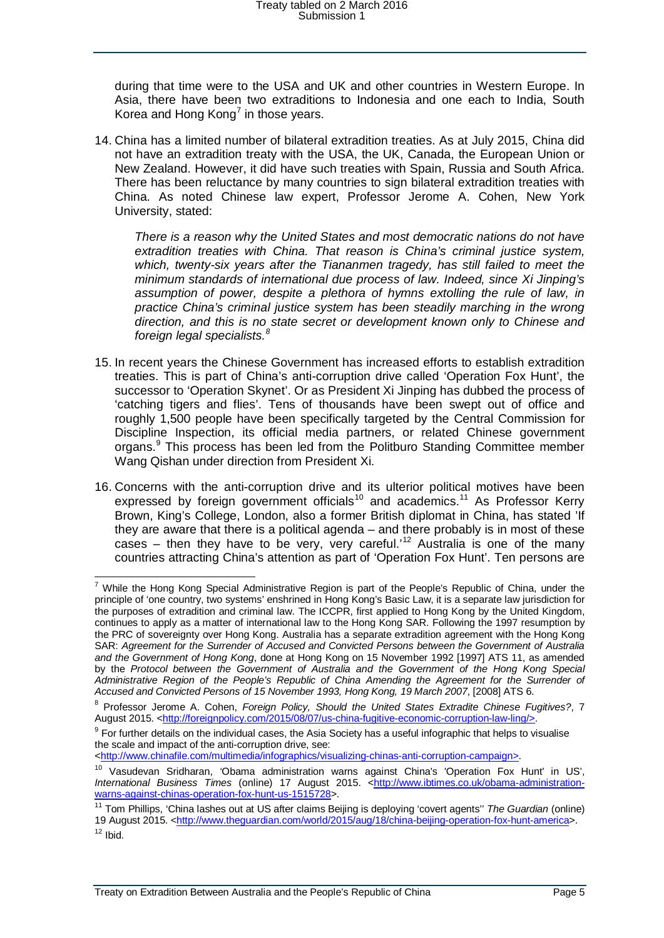during that time were to the USA and UK and other countries in Western Europe. In Asia, there have been two extraditions to Indonesia and one each to India, South Korea and Hong Kong<sup>[7](#page-4-0)</sup> in those years.

14. China has a limited number of bilateral extradition treaties. As at July 2015, China did not have an extradition treaty with the USA, the UK, Canada, the European Union or New Zealand. However, it did have such treaties with Spain, Russia and South Africa. There has been reluctance by many countries to sign bilateral extradition treaties with China. As noted Chinese law expert, Professor Jerome A. Cohen, New York University, stated:

*There is a reason why the United States and most democratic nations do not have extradition treaties with China. That reason is China's criminal justice system, which, twenty-six years after the Tiananmen tragedy, has still failed to meet the minimum standards of international due process of law. Indeed, since Xi Jinping's assumption of power, despite a plethora of hymns extolling the rule of law, in practice China's criminal justice system has been steadily marching in the wrong direction, and this is no state secret or development known only to Chinese and foreign legal specialists.[8](#page-4-1)*

- 15. In recent years the Chinese Government has increased efforts to establish extradition treaties. This is part of China's anti-corruption drive called 'Operation Fox Hunt', the successor to 'Operation Skynet'. Or as President Xi Jinping has dubbed the process of 'catching tigers and flies'. Tens of thousands have been swept out of office and roughly 1,500 people have been specifically targeted by the Central Commission for Discipline Inspection, its official media partners, or related Chinese government organs.[9](#page-4-2) This process has been led from the Politburo Standing Committee member Wang Qishan under direction from President Xi.
- 16. Concerns with the anti-corruption drive and its ulterior political motives have been expressed by foreign government officials<sup>[10](#page-4-3)</sup> and academics.<sup>[11](#page-4-4)</sup> As Professor Kerry Brown, King's College, London, also a former British diplomat in China, has stated 'If they are aware that there is a political agenda – and there probably is in most of these cases – then they have to be very, very careful.<sup>[12](#page-4-5)</sup> Australia is one of the many countries attracting China's attention as part of 'Operation Fox Hunt'. Ten persons are

[<http://www.chinafile.com/multimedia/infographics/visualizing-chinas-anti-corruption-campaign>](http://www.chinafile.com/multimedia/infographics/visualizing-chinas-anti-corruption-campaign).

<span id="page-4-0"></span> <sup>7</sup> While the Hong Kong Special Administrative Region is part of the People's Republic of China, under the principle of 'one country, two systems' enshrined in Hong Kong's Basic Law, it is a separate law jurisdiction for the purposes of extradition and criminal law. The ICCPR, first applied to Hong Kong by the United Kingdom, continues to apply as a matter of international law to the Hong Kong SAR. Following the 1997 resumption by the PRC of sovereignty over Hong Kong. Australia has a separate extradition agreement with the Hong Kong SAR: *Agreement for the Surrender of Accused and Convicted Persons between the Government of Australia and the Government of Hong Kong*, done at Hong Kong on 15 November 1992 [1997] ATS 11, as amended by the Protocol between the Government of Australia and the Government of the Hong Kong Special *Administrative Region of the People's Republic of China Amending the Agreement for the Surrender of Accused and Convicted Persons of 15 November 1993, Hong Kong, 19 March 2007*, [2008] ATS 6.

<span id="page-4-1"></span><sup>8</sup> Professor Jerome A. Cohen, *Foreign Policy, Should the United States Extradite Chinese Fugitives?*, 7 August 2015. <<u>http://foreignpolicy.com/2015/08/07/us-china-fugitive-economic-corruption-law-ling/></u>.

<span id="page-4-2"></span> $9$  For further details on the individual cases, the Asia Society has a useful infographic that helps to visualise the scale and impact of the anti-corruption drive, see:

<span id="page-4-3"></span><sup>&</sup>lt;sup>10</sup> Vasudevan Sridharan, 'Obama administration warns against China's 'Operation Fox Hunt' in US', International Business Times (online) 17 August 2015. [<http://www.ibtimes.co.uk/obama-administration](http://www.ibtimes.co.uk/obama-administration-warns-against-chinas-operation-fox-hunt-us-1515728)[warns-against-chinas-operation-fox-hunt-us-1515728>](http://www.ibtimes.co.uk/obama-administration-warns-against-chinas-operation-fox-hunt-us-1515728).

<span id="page-4-5"></span><span id="page-4-4"></span><sup>11</sup> Tom Phillips, 'China lashes out at US after claims Beijing is deploying 'covert agents'' *The Guardian* (online) 19 August 2015. [<http://www.theguardian.com/world/2015/aug/18/china-beijing-operation-fox-hunt-america>](http://www.theguardian.com/world/2015/aug/18/china-beijing-operation-fox-hunt-america).  $12$  Ibid.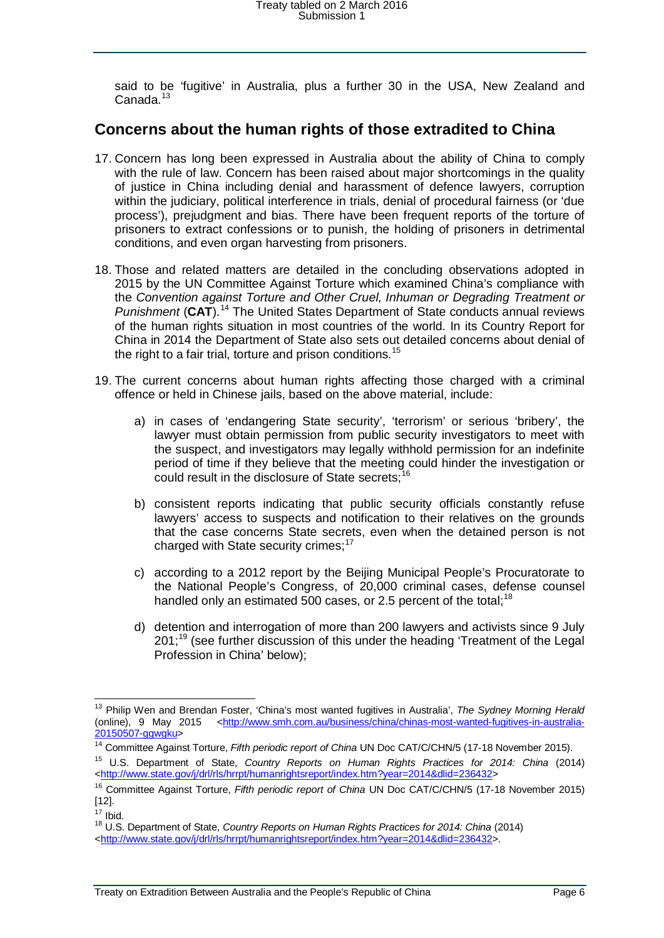said to be 'fugitive' in Australia, plus a further 30 in the USA, New Zealand and Canada.<sup>[13](#page-5-1)</sup>

#### <span id="page-5-0"></span>**Concerns about the human rights of those extradited to China**

- 17. Concern has long been expressed in Australia about the ability of China to comply with the rule of law. Concern has been raised about major shortcomings in the quality of justice in China including denial and harassment of defence lawyers, corruption within the judiciary, political interference in trials, denial of procedural fairness (or 'due process'), prejudgment and bias. There have been frequent reports of the torture of prisoners to extract confessions or to punish, the holding of prisoners in detrimental conditions, and even organ harvesting from prisoners.
- 18. Those and related matters are detailed in the concluding observations adopted in 2015 by the UN Committee Against Torture which examined China's compliance with the *Convention against Torture and Other Cruel, Inhuman or Degrading Treatment or Punishment* (**CAT**). [14](#page-5-2) The United States Department of State conducts annual reviews of the human rights situation in most countries of the world. In its Country Report for China in 2014 the Department of State also sets out detailed concerns about denial of the right to a fair trial, torture and prison conditions.<sup>[15](#page-5-3)</sup>
- 19. The current concerns about human rights affecting those charged with a criminal offence or held in Chinese jails, based on the above material, include:
	- a) in cases of 'endangering State security', 'terrorism' or serious 'bribery', the lawyer must obtain permission from public security investigators to meet with the suspect, and investigators may legally withhold permission for an indefinite period of time if they believe that the meeting could hinder the investigation or could result in the disclosure of State secrets;<sup>1</sup>
	- b) consistent reports indicating that public security officials constantly refuse lawyers' access to suspects and notification to their relatives on the grounds that the case concerns State secrets, even when the detained person is not charged with State security crimes; $17$
	- c) according to a 2012 report by the Beijing Municipal People's Procuratorate to the National People's Congress, of 20,000 criminal cases, defense counsel handled only an estimated 500 cases, or 2.5 percent of the total:<sup>[18](#page-5-6)</sup>
	- d) detention and interrogation of more than 200 lawyers and activists since 9 July 201:<sup>[19](#page-5-7)</sup> (see further discussion of this under the heading 'Treatment of the Legal Profession in China' below);

<span id="page-5-7"></span><span id="page-5-1"></span> <sup>13</sup> Philip Wen and Brendan Foster, 'China's most wanted fugitives in Australia', *The Sydney Morning Herald* (online), 9 May 2015 <http://www.smh.com.au/business/china/chinas-most-wanted-fugitives-in-australia-<br>20150507-ggwgku>

<span id="page-5-2"></span><sup>&</sup>lt;sup>[14](http://www.smh.com.au/business/china/chinas-most-wanted-fugitives-in-australia-20150507-ggwgku)</sup> Committee Against Torture, *Fifth periodic report of China* UN Doc CAT/C/CHN/5 (17-18 November 2015).

<span id="page-5-3"></span><sup>15</sup> U.S. Department of State, *Country Reports on Human Rights Practices for 2014: China* (2014) [<http://www.state.gov/j/drl/rls/hrrpt/humanrightsreport/index.htm?year=2014&dlid=236432>](http://www.state.gov/j/drl/rls/hrrpt/humanrightsreport/index.htm?year=2014&dlid=236432)

<span id="page-5-4"></span><sup>16</sup> Committee Against Torture, *Fifth periodic report of China* UN Doc CAT/C/CHN/5 (17-18 November 2015) [12].

<span id="page-5-6"></span><span id="page-5-5"></span><sup>&</sup>lt;sup>17</sup> Ibid.<br><sup>18</sup> U.S. Department of State, *Country Reports on Human Rights Practices for 2014: China* (2014) [<http://www.state.gov/j/drl/rls/hrrpt/humanrightsreport/index.htm?year=2014&dlid=236432>](http://www.state.gov/j/drl/rls/hrrpt/humanrightsreport/index.htm?year=2014&dlid=236432).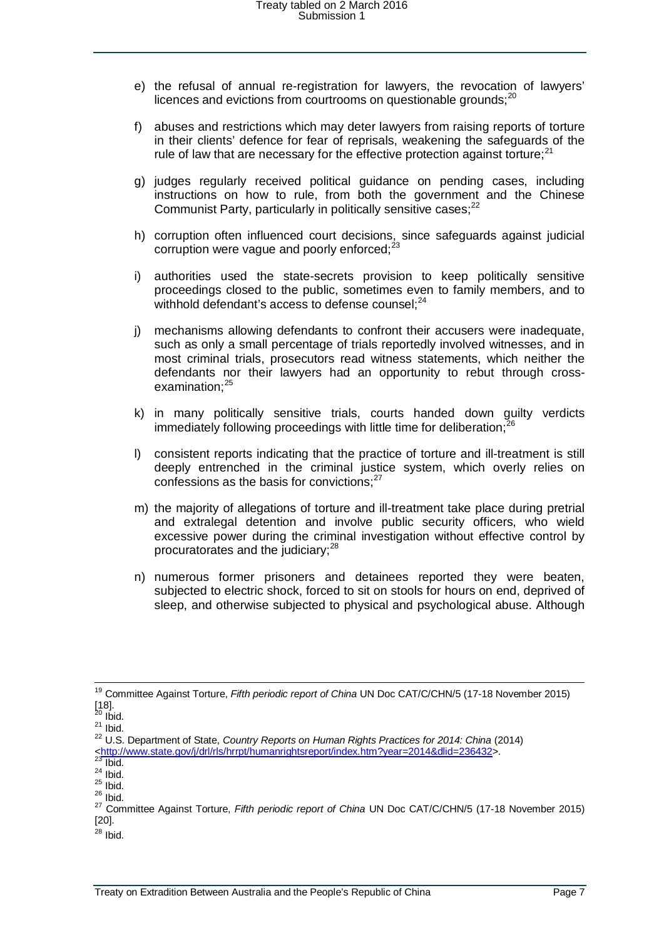- e) the refusal of annual re-registration for lawyers, the revocation of lawyers' licences and evictions from courtrooms on questionable grounds:<sup>[20](#page-6-0)</sup>
- f) abuses and restrictions which may deter lawyers from raising reports of torture in their clients' defence for fear of reprisals, weakening the safeguards of the rule of law that are necessary for the effective protection against torture; $^{21}$  $^{21}$  $^{21}$
- g) judges regularly received political guidance on pending cases, including instructions on how to rule, from both the government and the Chinese Communist Party, particularly in politically sensitive cases;<sup>[22](#page-6-2)</sup>
- h) corruption often influenced court decisions, since safeguards against judicial corruption were vague and poorly enforced;<sup>[23](#page-6-3)</sup>
- i) authorities used the state-secrets provision to keep politically sensitive proceedings closed to the public, sometimes even to family members, and to withhold defendant's access to defense counsel:<sup>[24](#page-6-4)</sup>
- j) mechanisms allowing defendants to confront their accusers were inadequate, such as only a small percentage of trials reportedly involved witnesses, and in most criminal trials, prosecutors read witness statements, which neither the defendants nor their lawyers had an opportunity to rebut through crossexamination: $25$
- k) in many politically sensitive trials, courts handed down guilty verdicts immediately following proceedings with little time for deliberation;
- l) consistent reports indicating that the practice of torture and ill-treatment is still deeply entrenched in the criminal justice system, which overly relies on confessions as the basis for convictions; $27$
- m) the majority of allegations of torture and ill-treatment take place during pretrial and extralegal detention and involve public security officers, who wield excessive power during the criminal investigation without effective control by procuratorates and the judiciary;<sup>[28](#page-6-8)</sup>
- n) numerous former prisoners and detainees reported they were beaten, subjected to electric shock, forced to sit on stools for hours on end, deprived of sleep, and otherwise subjected to physical and psychological abuse. Although

<sup>&</sup>lt;sup>19</sup> Committee Against Torture, *Fifth periodic report of China* UN Doc CAT/C/CHN/5 (17-18 November 2015)<br>[18].<br><sup>20</sup> Ibid.

<span id="page-6-2"></span><span id="page-6-1"></span><span id="page-6-0"></span><sup>[18].</sup> <sup>20</sup> Ibid. <sup>21</sup> Ibid. <sup>22</sup> U.S. Department of State, *Country Reports on Human Rights Practices for 2014: China* (2014)

<span id="page-6-6"></span><span id="page-6-5"></span>

<span id="page-6-4"></span><span id="page-6-3"></span><sup>&</sup>lt;sup>23</sup> Ibid.<br>
<sup>24</sup> Ibid.<br>
<sup>25</sup> Ibid.<br>
<sup>26</sup> Ibid.<br>
<sup>27</sup> Committee Against Torture, *Fifth periodic report of China* UN Doc CAT/C/CHN/5 (17-18 November 2015) [20].

<span id="page-6-8"></span><span id="page-6-7"></span> $28$  Ibid.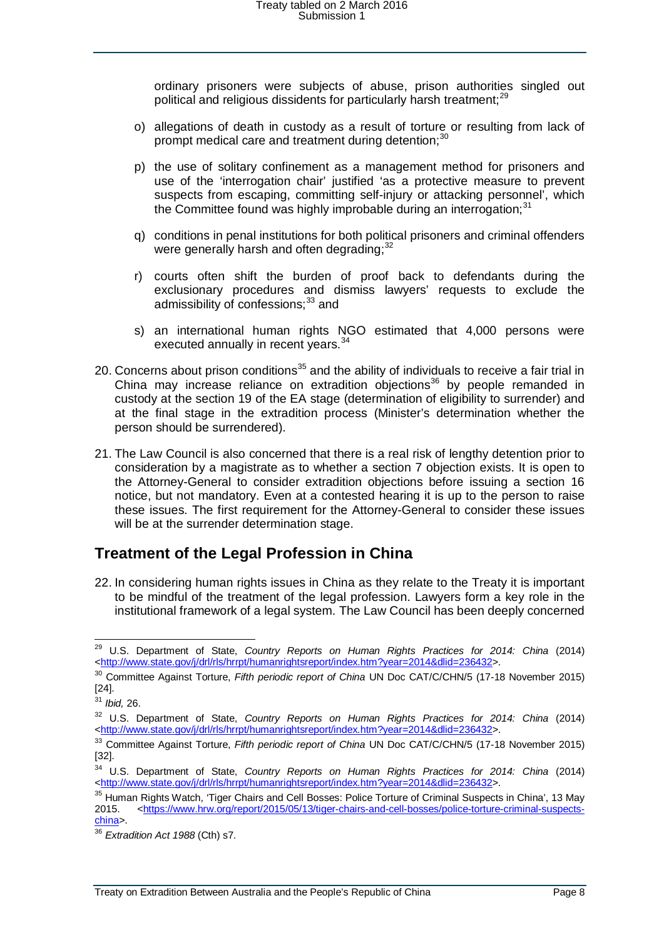ordinary prisoners were subjects of abuse, prison authorities singled out political and religious dissidents for particularly harsh treatment;<sup>[29](#page-7-1)</sup>

- o) allegations of death in custody as a result of torture or resulting from lack of prompt medical care and treatment during detention;<sup>[30](#page-7-2)</sup>
- p) the use of solitary confinement as a management method for prisoners and use of the 'interrogation chair' justified 'as a protective measure to prevent suspects from escaping, committing self-injury or attacking personnel', which the Committee found was highly improbable during an interrogation:  $31$
- q) conditions in penal institutions for both political prisoners and criminal offenders were generally harsh and often degrading;<sup>[32](#page-7-4)</sup>
- r) courts often shift the burden of proof back to defendants during the exclusionary procedures and dismiss lawyers' requests to exclude the admissibility of confessions;<sup>[33](#page-7-5)</sup> and
- s) an international human rights NGO estimated that 4,000 persons were executed annually in recent years.<sup>[34](#page-7-6)</sup>
- 20. Concerns about prison conditions<sup>[35](#page-7-7)</sup> and the ability of individuals to receive a fair trial in China may increase reliance on extradition objections<sup>[36](#page-7-8)</sup> by people remanded in custody at the section 19 of the EA stage (determination of eligibility to surrender) and at the final stage in the extradition process (Minister's determination whether the person should be surrendered).
- 21. The Law Council is also concerned that there is a real risk of lengthy detention prior to consideration by a magistrate as to whether a section 7 objection exists. It is open to the Attorney-General to consider extradition objections before issuing a section 16 notice, but not mandatory. Even at a contested hearing it is up to the person to raise these issues. The first requirement for the Attorney-General to consider these issues will be at the surrender determination stage.

#### <span id="page-7-0"></span>**Treatment of the Legal Profession in China**

22. In considering human rights issues in China as they relate to the Treaty it is important to be mindful of the treatment of the legal profession. Lawyers form a key role in the institutional framework of a legal system. The Law Council has been deeply concerned

<span id="page-7-1"></span> <sup>29</sup> U.S. Department of State, *Country Reports on Human Rights Practices for 2014: China* (2014) [<http://www.state.gov/j/drl/rls/hrrpt/humanrightsreport/index.htm?year=2014&dlid=236432>](http://www.state.gov/j/drl/rls/hrrpt/humanrightsreport/index.htm?year=2014&dlid=236432).

<span id="page-7-2"></span><sup>30</sup> Committee Against Torture, *Fifth periodic report of China* UN Doc CAT/C/CHN/5 (17-18 November 2015) [24].

<span id="page-7-3"></span><sup>31</sup> *Ibid,* 26.

<span id="page-7-4"></span><sup>32</sup> U.S. Department of State, *Country Reports on Human Rights Practices for 2014: China* (2014) [<http://www.state.gov/j/drl/rls/hrrpt/humanrightsreport/index.htm?year=2014&dlid=236432>](http://www.state.gov/j/drl/rls/hrrpt/humanrightsreport/index.htm?year=2014&dlid=236432).

<span id="page-7-5"></span><sup>33</sup> Committee Against Torture, *Fifth periodic report of China* UN Doc CAT/C/CHN/5 (17-18 November 2015) [32].

<span id="page-7-6"></span><sup>34</sup> U.S. Department of State, *Country Reports on Human Rights Practices for 2014: China* (2014) [<http://www.state.gov/j/drl/rls/hrrpt/humanrightsreport/index.htm?year=2014&dlid=236432>](http://www.state.gov/j/drl/rls/hrrpt/humanrightsreport/index.htm?year=2014&dlid=236432).

<span id="page-7-7"></span><sup>&</sup>lt;sup>35</sup> Human Rights Watch, 'Tiger Chairs and Cell Bosses: Police Torture of Criminal Suspects in China', 13 May<br>2015. <https://www.hrw.org/report/2015/05/13/tiger-chairs-and-cell-bosses/police-torture-criminal-suspects 2015. [<https://www.hrw.org/report/2015/05/13/tiger-chairs-and-cell-bosses/police-torture-criminal-suspects](https://www.hrw.org/report/2015/05/13/tiger-chairs-and-cell-bosses/police-torture-criminal-suspects-china)[china>](https://www.hrw.org/report/2015/05/13/tiger-chairs-and-cell-bosses/police-torture-criminal-suspects-china).

<span id="page-7-8"></span><sup>36</sup> *Extradition Act 1988* (Cth) s7.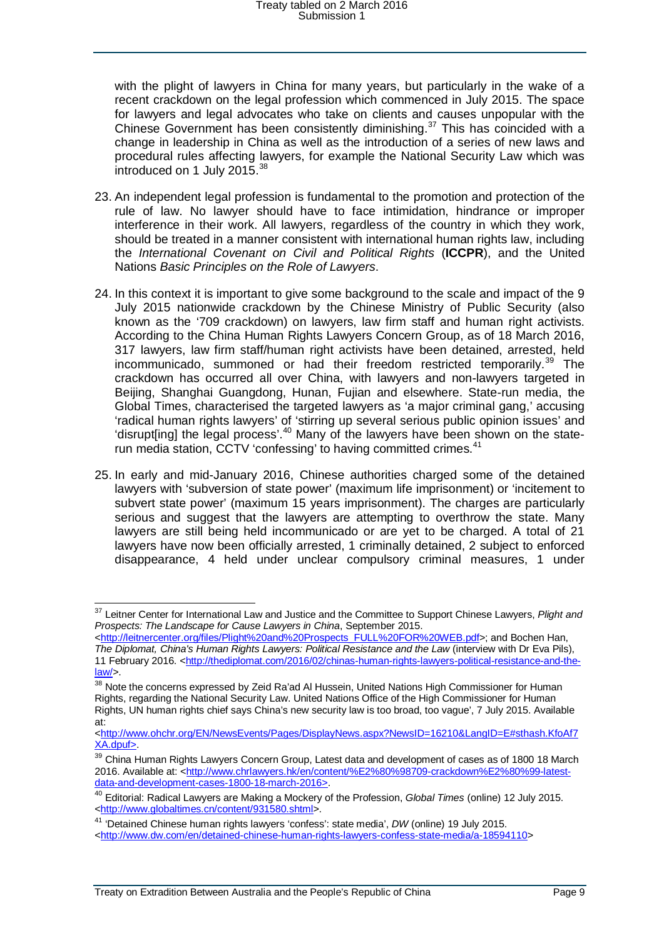with the plight of lawyers in China for many years, but particularly in the wake of a recent crackdown on the legal profession which commenced in July 2015. The space for lawyers and legal advocates who take on clients and causes unpopular with the Chinese Government has been consistently diminishing. $37$  This has coincided with a change in leadership in China as well as the introduction of a series of new laws and procedural rules affecting lawyers, for example the National Security Law which was introduced on 1 July 2015.<sup>[38](#page-8-1)</sup>

- 23. An independent legal profession is fundamental to the promotion and protection of the rule of law. No lawyer should have to face intimidation, hindrance or improper interference in their work. All lawyers, regardless of the country in which they work, should be treated in a manner consistent with international human rights law, including the *International Covenant on Civil and Political Rights* (**ICCPR**), and the United Nations *Basic Principles on the Role of Lawyers*.
- 24. In this context it is important to give some background to the scale and impact of the 9 July 2015 nationwide crackdown by the Chinese Ministry of Public Security (also known as the '709 crackdown) on lawyers, law firm staff and human right activists. According to the China Human Rights Lawyers Concern Group, as of 18 March 2016, 317 lawyers, law firm staff/human right activists have been detained, arrested, held incommunicado, summoned or had their freedom restricted temporarily.[39](#page-8-2) The crackdown has occurred all over China, with lawyers and non-lawyers targeted in Beijing, Shanghai Guangdong, Hunan, Fujian and elsewhere. State-run media, the Global Times, characterised the targeted lawyers as 'a major criminal gang,' accusing 'radical human rights lawyers' of 'stirring up several serious public opinion issues' and 'disrupt[ing] the legal process'.<sup>[40](#page-8-3)</sup> Many of the lawyers have been shown on the state-run media station, CCTV 'confessing' to having committed crimes.<sup>[41](#page-8-4)</sup>
- 25. In early and mid-January 2016, Chinese authorities charged some of the detained lawyers with 'subversion of state power' (maximum life imprisonment) or 'incitement to subvert state power' (maximum 15 years imprisonment). The charges are particularly serious and suggest that the lawyers are attempting to overthrow the state. Many lawyers are still being held incommunicado or are yet to be charged. A total of 21 lawyers have now been officially arrested, 1 criminally detained, 2 subject to enforced disappearance, 4 held under unclear compulsory criminal measures, 1 under

<span id="page-8-0"></span> <sup>37</sup> Leitner Center for International Law and Justice and the Committee to Support Chinese Lawyers, *Plight and Prospects: The Landscape for Cause Lawyers in China*, September 2015.

[<sup>&</sup>lt;http://leitnercenter.org/files/Plight%20and%20Prospects\\_FULL%20FOR%20WEB.pdf>](http://leitnercenter.org/files/Plight%20and%20Prospects_FULL%20FOR%20WEB.pdf); and Bochen Han, *The Diplomat, China's Human Rights Lawyers: Political Resistance and the Law* (interview with Dr Eva Pils),

<sup>11</sup> February 2016. [<http://thediplomat.com/2016/02/chinas-human-rights-lawyers-political-resistance-and-the](http://thediplomat.com/2016/02/chinas-human-rights-lawyers-political-resistance-and-the-law/)[law/>](http://thediplomat.com/2016/02/chinas-human-rights-lawyers-political-resistance-and-the-law/).

<span id="page-8-1"></span><sup>&</sup>lt;sup>38</sup> Note the concerns expressed by Zeid Ra'ad Al Hussein, United Nations High Commissioner for Human Rights, regarding the National Security Law. United Nations Office of the High Commissioner for Human Rights, UN human rights chief says China's new security law is too broad, too vague', 7 July 2015. Available at:

[<sup>&</sup>lt;http://www.ohchr.org/EN/NewsEvents/Pages/DisplayNews.aspx?NewsID=16210&LangID=E#sthash.KfoAf7](http://www.ohchr.org/EN/NewsEvents/Pages/DisplayNews.aspx?NewsID=16210&LangID=E#sthash.KfoAf7XA.dpuf) [XA.dpuf>](http://www.ohchr.org/EN/NewsEvents/Pages/DisplayNews.aspx?NewsID=16210&LangID=E#sthash.KfoAf7XA.dpuf).

<span id="page-8-2"></span><sup>&</sup>lt;sup>39</sup> China Human Rights Lawyers Concern Group, Latest data and development of cases as of 1800 18 March 2016. Available at: [<http://www.chrlawyers.hk/en/content/%E2%80%98709-crackdown%E2%80%99-latest](http://www.chrlawyers.hk/en/content/%E2%80%98709-crackdown%E2%80%99-latest-data-and-development-cases-1800-18-march-2016)[data-and-development-cases-1800-18-march-2016>](http://www.chrlawyers.hk/en/content/%E2%80%98709-crackdown%E2%80%99-latest-data-and-development-cases-1800-18-march-2016).

<span id="page-8-3"></span><sup>40</sup> Editorial: Radical Lawyers are Making a Mockery of the Profession, *Global Times* (online) 12 July 2015. [<http://www.globaltimes.cn/content/931580.shtml>](http://www.globaltimes.cn/content/931580.shtml).

<span id="page-8-4"></span><sup>41</sup> 'Detained Chinese human rights lawyers 'confess': state media', *DW* (online) 19 July 2015.

[<sup>&</sup>lt;http://www.dw.com/en/detained-chinese-human-rights-lawyers-confess-state-media/a-18594110>](http://www.dw.com/en/detained-chinese-human-rights-lawyers-confess-state-media/a-18594110)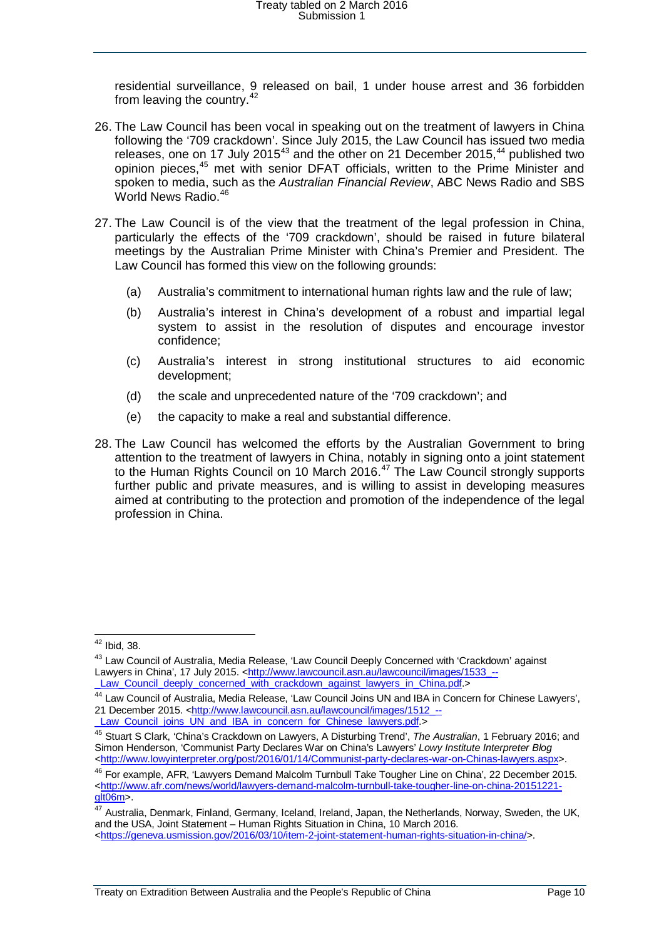residential surveillance, 9 released on bail, 1 under house arrest and 36 forbidden from leaving the country.<sup>[42](#page-9-0)</sup>

- 26. The Law Council has been vocal in speaking out on the treatment of lawyers in China following the '709 crackdown'. Since July 2015, the Law Council has issued two media releases, one on 17 July 2015 $43$  and the other on 21 December 2015, $44$  published two opinion pieces,[45](#page-9-3) met with senior DFAT officials, written to the Prime Minister and spoken to media, such as the *Australian Financial Review*, ABC News Radio and SBS World News Radio.<sup>[46](#page-9-4)</sup>
- 27. The Law Council is of the view that the treatment of the legal profession in China, particularly the effects of the '709 crackdown', should be raised in future bilateral meetings by the Australian Prime Minister with China's Premier and President. The Law Council has formed this view on the following grounds:
	- (a) Australia's commitment to international human rights law and the rule of law;
	- (b) Australia's interest in China's development of a robust and impartial legal system to assist in the resolution of disputes and encourage investor confidence;
	- (c) Australia's interest in strong institutional structures to aid economic development;
	- (d) the scale and unprecedented nature of the '709 crackdown'; and
	- (e) the capacity to make a real and substantial difference.
- 28. The Law Council has welcomed the efforts by the Australian Government to bring attention to the treatment of lawyers in China, notably in signing onto a joint statement to the Human Rights Council on 10 March 2016.<sup>[47](#page-9-5)</sup> The Law Council strongly supports further public and private measures, and is willing to assist in developing measures aimed at contributing to the protection and promotion of the independence of the legal profession in China.

 <sup>42</sup> Ibid, 38.

<span id="page-9-1"></span><span id="page-9-0"></span><sup>43</sup> Law Council of Australia, Media Release, 'Law Council Deeply Concerned with 'Crackdown' against Lawyers in China', 17 July 2015. <http://www.lawcouncil.asn.au/lawcouncil/images/1533 --<br>Law\_Council\_deeply\_concerned\_with\_crackdown\_against\_lawyers\_in\_China.pdf.>

<span id="page-9-2"></span><sup>&</sup>lt;sup>[44](http://www.lawcouncil.asn.au/lawcouncil/images/1533_--_Law_Council_deeply_concerned_with_crackdown_against_lawyers_in_China.pdf)</sup> Law Council of Australia, Media Release, 'Law Council Joins UN and IBA in Concern for Chinese Lawyers', 21 December 2015. <http://www.lawcouncil.asn.au/lawcouncil/images/1512 --<br>
Law\_Council\_joins\_UN\_and\_IBA\_in\_concern\_for\_Chinese\_lawyers.pdf.>

<span id="page-9-3"></span><sup>&</sup>lt;sup>[45](http://www.lawcouncil.asn.au/lawcouncil/images/1512_--_Law_Council_joins_UN_and_IBA_in_concern_for_Chinese_lawyers.pdf)</sup> Stuart S Clark, 'China's Crackdown on Lawyers, A Disturbing Trend', *The Australian*, 1 February 2016; and Simon Henderson, 'Communist Party Declares War on China's Lawyers' *Lowy Institute Interpreter Blog <*[http://www.lowyinterpreter.org/post/2016/01/14/Communist-party-declares-war-on-Chinas-lawyers.aspx>](http://www.lowyinterpreter.org/post/2016/01/14/Communist-party-declares-war-on-Chinas-lawyers.aspx).

<span id="page-9-4"></span><sup>&</sup>lt;sup>46</sup> For example, AFR, 'Lawyers Demand Malcolm Turnbull Take Tougher Line on China', 22 December 2015. [<http://www.afr.com/news/world/lawyers-demand-malcolm-turnbull-take-tougher-line-on-china-20151221](http://www.afr.com/news/world/lawyers-demand-malcolm-turnbull-take-tougher-line-on-china-20151221-glt06m) [glt06m>](http://www.afr.com/news/world/lawyers-demand-malcolm-turnbull-take-tougher-line-on-china-20151221-glt06m).

<span id="page-9-5"></span><sup>&</sup>lt;sup>47</sup> Australia, Denmark, Finland, Germany, Iceland, Ireland, Japan, the Netherlands, Norway, Sweden, the UK, and the USA, Joint Statement – Human Rights Situation in China, 10 March 2016.

[<sup>&</sup>lt;https://geneva.usmission.gov/2016/03/10/item-2-joint-statement-human-rights-situation-in-china/>](https://geneva.usmission.gov/2016/03/10/item-2-joint-statement-human-rights-situation-in-china/).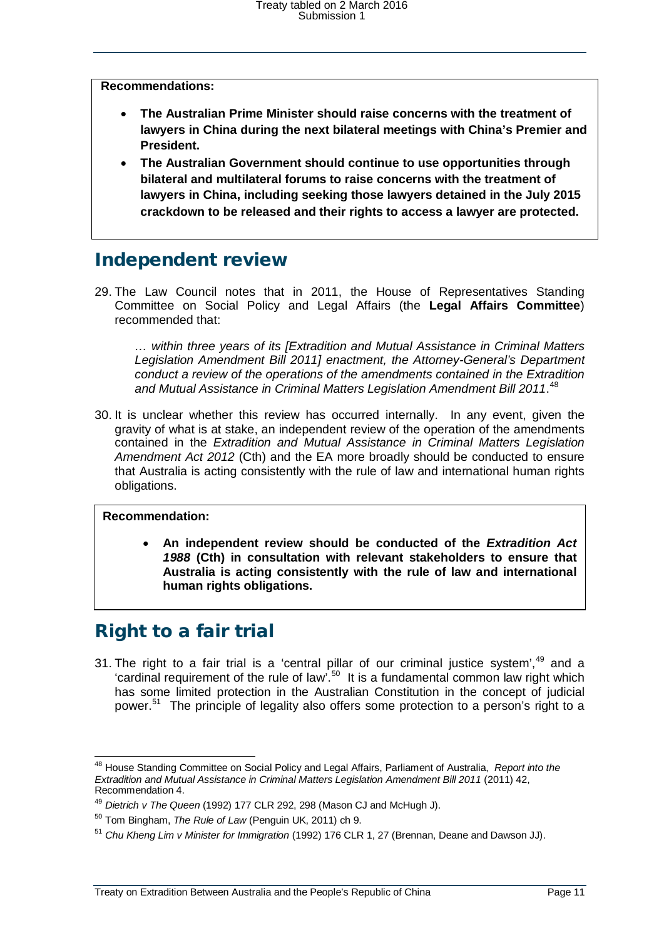**Recommendations:**

- **The Australian Prime Minister should raise concerns with the treatment of lawyers in China during the next bilateral meetings with China's Premier and President.**
- **The Australian Government should continue to use opportunities through bilateral and multilateral forums to raise concerns with the treatment of lawyers in China, including seeking those lawyers detained in the July 2015 crackdown to be released and their rights to access a lawyer are protected.**

### <span id="page-10-0"></span>Independent review

29. The Law Council notes that in 2011, the House of Representatives Standing Committee on Social Policy and Legal Affairs (the **Legal Affairs Committee**) recommended that:

*… within three years of its [Extradition and Mutual Assistance in Criminal Matters Legislation Amendment Bill 2011] enactment, the Attorney-General's Department conduct a review of the operations of the amendments contained in the Extradition and Mutual Assistance in Criminal Matters Legislation Amendment Bill 2011*. [48](#page-10-2)

30. It is unclear whether this review has occurred internally. In any event, given the gravity of what is at stake, an independent review of the operation of the amendments contained in the *Extradition and Mutual Assistance in Criminal Matters Legislation Amendment Act 2012* (Cth) and the EA more broadly should be conducted to ensure that Australia is acting consistently with the rule of law and international human rights obligations.

#### **Recommendation:**

• **An independent review should be conducted of the** *Extradition Act 1988* **(Cth) in consultation with relevant stakeholders to ensure that Australia is acting consistently with the rule of law and international human rights obligations.**

# <span id="page-10-1"></span>Right to a fair trial

31. The right to a fair trial is a 'central pillar of our criminal justice system', $49$  and a 'cardinal requirement of the rule of law'.<sup>[50](#page-10-4)</sup> It is a fundamental common law right which has some limited protection in the Australian Constitution in the concept of judicial power.<sup>[51](#page-10-5)</sup> The principle of legality also offers some protection to a person's right to a

<span id="page-10-2"></span> <sup>48</sup> House Standing Committee on Social Policy and Legal Affairs, Parliament of Australia, *Report into the Extradition and Mutual Assistance in Criminal Matters Legislation Amendment Bill 2011* (2011) 42, Recommendation 4.

<span id="page-10-3"></span><sup>49</sup> *Dietrich v The Queen* (1992) 177 CLR 292, 298 (Mason CJ and McHugh J).

<sup>50</sup> Tom Bingham, *The Rule of Law* (Penguin UK, 2011) ch 9.

<span id="page-10-5"></span><span id="page-10-4"></span><sup>51</sup> *Chu Kheng Lim v Minister for Immigration* (1992) 176 CLR 1, 27 (Brennan, Deane and Dawson JJ).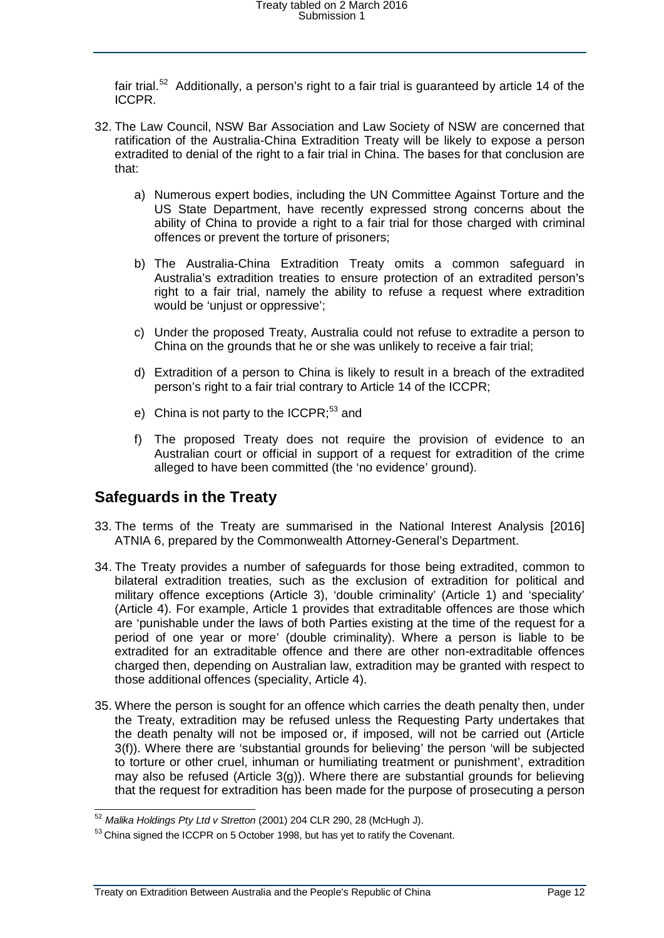fair trial.<sup>52</sup> Additionally, a person's right to a fair trial is guaranteed by article 14 of the ICCPR.

- 32. The Law Council, NSW Bar Association and Law Society of NSW are concerned that ratification of the Australia-China Extradition Treaty will be likely to expose a person extradited to denial of the right to a fair trial in China. The bases for that conclusion are that:
	- a) Numerous expert bodies, including the UN Committee Against Torture and the US State Department, have recently expressed strong concerns about the ability of China to provide a right to a fair trial for those charged with criminal offences or prevent the torture of prisoners;
	- b) The Australia-China Extradition Treaty omits a common safeguard in Australia's extradition treaties to ensure protection of an extradited person's right to a fair trial, namely the ability to refuse a request where extradition would be 'unjust or oppressive';
	- c) Under the proposed Treaty, Australia could not refuse to extradite a person to China on the grounds that he or she was unlikely to receive a fair trial;
	- d) Extradition of a person to China is likely to result in a breach of the extradited person's right to a fair trial contrary to Article 14 of the ICCPR;
	- e) China is not party to the ICCPR:<sup>[53](#page-11-2)</sup> and
	- f) The proposed Treaty does not require the provision of evidence to an Australian court or official in support of a request for extradition of the crime alleged to have been committed (the 'no evidence' ground).

#### <span id="page-11-0"></span>**Safeguards in the Treaty**

- 33. The terms of the Treaty are summarised in the National Interest Analysis [2016] ATNIA 6, prepared by the Commonwealth Attorney-General's Department.
- 34. The Treaty provides a number of safeguards for those being extradited, common to bilateral extradition treaties, such as the exclusion of extradition for political and military offence exceptions (Article 3), 'double criminality' (Article 1) and 'speciality' (Article 4). For example, Article 1 provides that extraditable offences are those which are 'punishable under the laws of both Parties existing at the time of the request for a period of one year or more' (double criminality). Where a person is liable to be extradited for an extraditable offence and there are other non-extraditable offences charged then, depending on Australian law, extradition may be granted with respect to those additional offences (speciality, Article 4).
- 35. Where the person is sought for an offence which carries the death penalty then, under the Treaty, extradition may be refused unless the Requesting Party undertakes that the death penalty will not be imposed or, if imposed, will not be carried out (Article 3(f)). Where there are 'substantial grounds for believing' the person 'will be subjected to torture or other cruel, inhuman or humiliating treatment or punishment', extradition may also be refused (Article 3(g)). Where there are substantial grounds for believing that the request for extradition has been made for the purpose of prosecuting a person

 <sup>52</sup> *Malika Holdings Pty Ltd v Stretton* (2001) 204 CLR 290, 28 (McHugh J).

<span id="page-11-2"></span><span id="page-11-1"></span><sup>53</sup> China signed the ICCPR on 5 October 1998, but has yet to ratify the Covenant.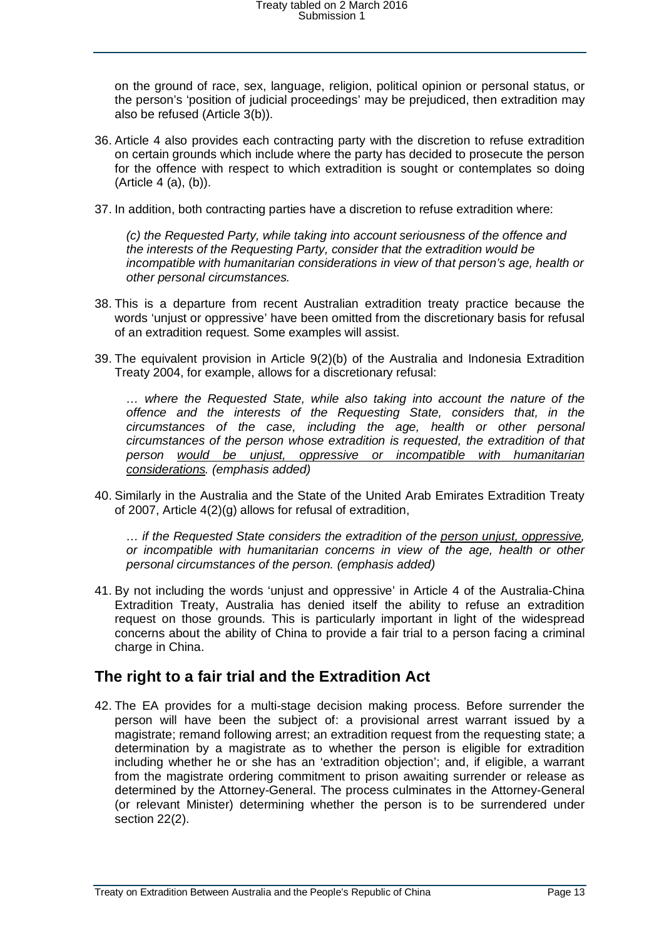on the ground of race, sex, language, religion, political opinion or personal status, or the person's 'position of judicial proceedings' may be prejudiced, then extradition may also be refused (Article 3(b)).

- 36. Article 4 also provides each contracting party with the discretion to refuse extradition on certain grounds which include where the party has decided to prosecute the person for the offence with respect to which extradition is sought or contemplates so doing (Article 4 (a), (b)).
- 37. In addition, both contracting parties have a discretion to refuse extradition where:

*(c) the Requested Party, while taking into account seriousness of the offence and the interests of the Requesting Party, consider that the extradition would be incompatible with humanitarian considerations in view of that person's age, health or other personal circumstances.*

- 38. This is a departure from recent Australian extradition treaty practice because the words 'unjust or oppressive' have been omitted from the discretionary basis for refusal of an extradition request. Some examples will assist.
- 39. The equivalent provision in Article 9(2)(b) of the Australia and Indonesia Extradition Treaty 2004, for example, allows for a discretionary refusal:

*… where the Requested State, while also taking into account the nature of the offence and the interests of the Requesting State, considers that, in the circumstances of the case, including the age, health or other personal circumstances of the person whose extradition is requested, the extradition of that person would be unjust, oppressive or incompatible with humanitarian considerations. (emphasis added)*

40. Similarly in the Australia and the State of the United Arab Emirates Extradition Treaty of 2007, Article 4(2)(g) allows for refusal of extradition,

*… if the Requested State considers the extradition of the person unjust, oppressive, or incompatible with humanitarian concerns in view of the age, health or other personal circumstances of the person. (emphasis added)*

41. By not including the words 'unjust and oppressive' in Article 4 of the Australia-China Extradition Treaty, Australia has denied itself the ability to refuse an extradition request on those grounds. This is particularly important in light of the widespread concerns about the ability of China to provide a fair trial to a person facing a criminal charge in China.

#### <span id="page-12-0"></span>**The right to a fair trial and the Extradition Act**

42. The EA provides for a multi-stage decision making process. Before surrender the person will have been the subject of: a provisional arrest warrant issued by a magistrate; remand following arrest; an extradition request from the requesting state; a determination by a magistrate as to whether the person is eligible for extradition including whether he or she has an 'extradition objection'; and, if eligible, a warrant from the magistrate ordering commitment to prison awaiting surrender or release as determined by the Attorney-General. The process culminates in the Attorney-General (or relevant Minister) determining whether the person is to be surrendered under section 22(2).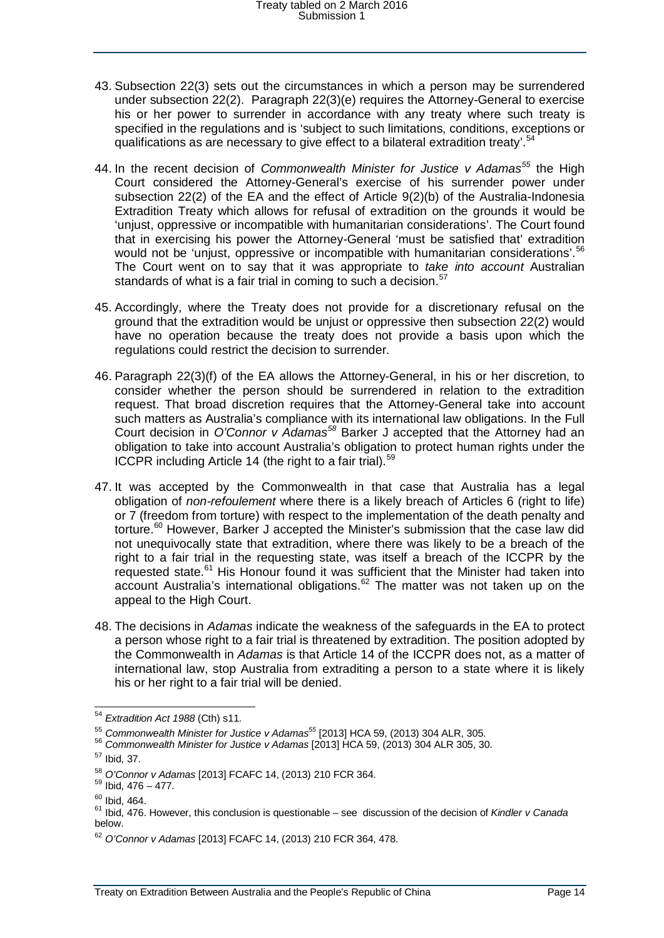- 43. Subsection 22(3) sets out the circumstances in which a person may be surrendered under subsection 22(2). Paragraph 22(3)(e) requires the Attorney-General to exercise his or her power to surrender in accordance with any treaty where such treaty is specified in the regulations and is 'subject to such limitations, conditions, exceptions or qualifications as are necessary to give effect to a bilateral extradition treaty'.[54](#page-13-0)
- 44. In the recent decision of *Commonwealth Minister for Justice v Adamas[55](#page-13-1)* the High Court considered the Attorney-General's exercise of his surrender power under subsection 22(2) of the EA and the effect of Article 9(2)(b) of the Australia-Indonesia Extradition Treaty which allows for refusal of extradition on the grounds it would be 'unjust, oppressive or incompatible with humanitarian considerations'. The Court found that in exercising his power the Attorney-General 'must be satisfied that' extradition would not be 'unjust, oppressive or incompatible with humanitarian considerations'.<sup>[56](#page-13-2)</sup> The Court went on to say that it was appropriate to *take into account* Australian standards of what is a fair trial in coming to such a decision.<sup>[57](#page-13-3)</sup>
- 45. Accordingly, where the Treaty does not provide for a discretionary refusal on the ground that the extradition would be unjust or oppressive then subsection 22(2) would have no operation because the treaty does not provide a basis upon which the regulations could restrict the decision to surrender.
- 46. Paragraph 22(3)(f) of the EA allows the Attorney-General, in his or her discretion, to consider whether the person should be surrendered in relation to the extradition request. That broad discretion requires that the Attorney-General take into account such matters as Australia's compliance with its international law obligations. In the Full Court decision in *O'Connor v Adamas[58](#page-13-4)* Barker J accepted that the Attorney had an obligation to take into account Australia's obligation to protect human rights under the ICCPR including Article 14 (the right to a fair trial).<sup>[59](#page-13-5)</sup>
- 47. It was accepted by the Commonwealth in that case that Australia has a legal obligation of *non-refoulement* where there is a likely breach of Articles 6 (right to life) or 7 (freedom from torture) with respect to the implementation of the death penalty and torture.<sup>[60](#page-13-6)</sup> However, Barker J accepted the Minister's submission that the case law did not unequivocally state that extradition, where there was likely to be a breach of the right to a fair trial in the requesting state, was itself a breach of the ICCPR by the requested state.<sup>[61](#page-13-7)</sup> His Honour found it was sufficient that the Minister had taken into account Australia's international obligations.<sup>[62](#page-13-8)</sup> The matter was not taken up on the appeal to the High Court.
- 48. The decisions in *Adamas* indicate the weakness of the safeguards in the EA to protect a person whose right to a fair trial is threatened by extradition. The position adopted by the Commonwealth in *Adamas* is that Article 14 of the ICCPR does not, as a matter of international law, stop Australia from extraditing a person to a state where it is likely his or her right to a fair trial will be denied.

<span id="page-13-0"></span> <sup>54</sup> *Extradition Act 1988* (Cth) s11.

<span id="page-13-1"></span><sup>&</sup>lt;sup>55</sup> *Commonwealth Minister for Justice v Adamas*<sup>55</sup> [2013] HCA 59, (2013) 304 ALR, 305.<br><sup>56</sup> *Commonwealth Minister for Justice v Adamas* [2013] HCA 59, (2013) 304 ALR 305, 30.

<span id="page-13-3"></span><span id="page-13-2"></span><sup>57</sup> Ibid, 37.

<span id="page-13-4"></span><sup>58</sup> *O'Connor v Adamas* [2013] FCAFC 14, (2013) 210 FCR 364. <sup>59</sup> Ibid, 476 – 477.

<span id="page-13-7"></span><span id="page-13-6"></span><span id="page-13-5"></span><sup>&</sup>lt;sup>60</sup> Ibid, 464.<br><sup>61</sup> Ibid, 476. However, this conclusion is questionable – see discussion of the decision of *Kindler v Canada* below.

<span id="page-13-8"></span><sup>62</sup> *O'Connor v Adamas* [2013] FCAFC 14, (2013) 210 FCR 364, 478.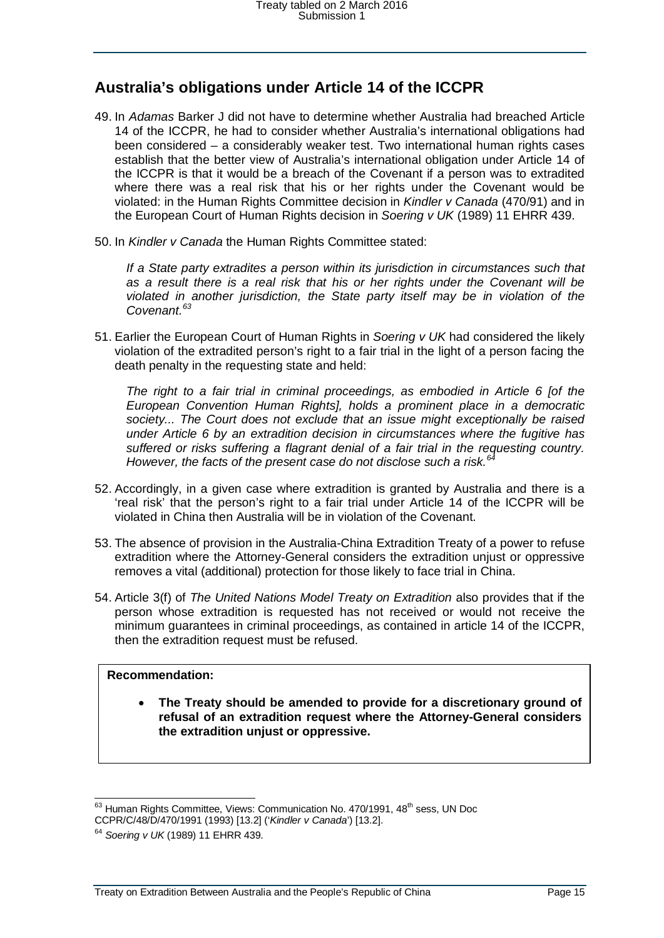### <span id="page-14-0"></span>**Australia's obligations under Article 14 of the ICCPR**

- 49. In *Adamas* Barker J did not have to determine whether Australia had breached Article 14 of the ICCPR, he had to consider whether Australia's international obligations had been considered – a considerably weaker test. Two international human rights cases establish that the better view of Australia's international obligation under Article 14 of the ICCPR is that it would be a breach of the Covenant if a person was to extradited where there was a real risk that his or her rights under the Covenant would be violated: in the Human Rights Committee decision in *Kindler v Canada* (470/91) and in the European Court of Human Rights decision in *Soering v UK* (1989) 11 EHRR 439.
- 50. In *Kindler v Canada* the Human Rights Committee stated:

*If a State party extradites a person within its jurisdiction in circumstances such that as a result there is a real risk that his or her rights under the Covenant will be violated in another jurisdiction, the State party itself may be in violation of the Covenant.[63](#page-14-1)*

51. Earlier the European Court of Human Rights in *Soering v UK* had considered the likely violation of the extradited person's right to a fair trial in the light of a person facing the death penalty in the requesting state and held:

*The right to a fair trial in criminal proceedings, as embodied in Article 6 [of the European Convention Human Rights], holds a prominent place in a democratic society... The Court does not exclude that an issue might exceptionally be raised under Article 6 by an extradition decision in circumstances where the fugitive has suffered or risks suffering a flagrant denial of a fair trial in the requesting country. However, the facts of the present case do not disclose such a risk.[64](#page-14-2)*

- 52. Accordingly, in a given case where extradition is granted by Australia and there is a 'real risk' that the person's right to a fair trial under Article 14 of the ICCPR will be violated in China then Australia will be in violation of the Covenant.
- 53. The absence of provision in the Australia-China Extradition Treaty of a power to refuse extradition where the Attorney-General considers the extradition unjust or oppressive removes a vital (additional) protection for those likely to face trial in China.
- 54. Article 3(f) of *The United Nations Model Treaty on Extradition* also provides that if the person whose extradition is requested has not received or would not receive the minimum guarantees in criminal proceedings, as contained in article 14 of the ICCPR, then the extradition request must be refused.

#### **Recommendation:**

• **The Treaty should be amended to provide for a discretionary ground of refusal of an extradition request where the Attorney-General considers the extradition unjust or oppressive.**

 $63$  Human Rights Committee, Views: Communication No. 470/1991, 48<sup>th</sup> sess, UN Doc

<span id="page-14-1"></span>CCPR/C/48/D/470/1991 (1993) [13.2] ('*Kindler v Canada*') [13.2].

<span id="page-14-2"></span><sup>64</sup> *Soering v UK* (1989) 11 EHRR 439.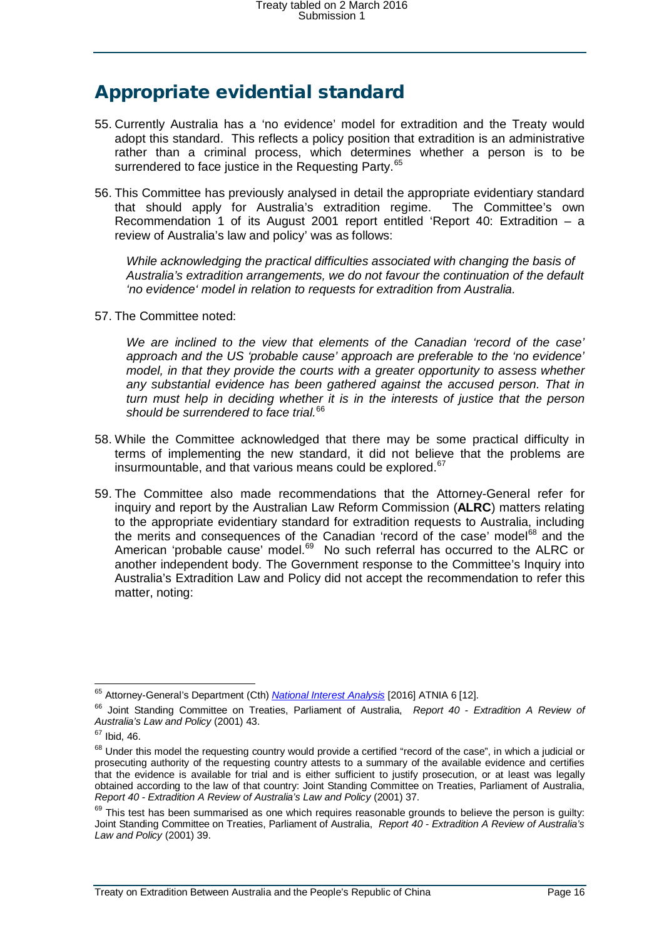## <span id="page-15-0"></span>Appropriate evidential standard

- 55. Currently Australia has a 'no evidence' model for extradition and the Treaty would adopt this standard. This reflects a policy position that extradition is an administrative rather than a criminal process, which determines whether a person is to be surrendered to face justice in the Requesting Party.<sup>[65](#page-15-1)</sup>
- 56. This Committee has previously analysed in detail the appropriate evidentiary standard that should apply for Australia's extradition regime. The Committee's own Recommendation 1 of its August 2001 report entitled 'Report 40: Extradition – a review of Australia's law and policy' was as follows:

*While acknowledging the practical difficulties associated with changing the basis of Australia's extradition arrangements, we do not favour the continuation of the default 'no evidence' model in relation to requests for extradition from Australia.*

57. The Committee noted:

*We are inclined to the view that elements of the Canadian 'record of the case' approach and the US 'probable cause' approach are preferable to the 'no evidence' model, in that they provide the courts with a greater opportunity to assess whether any substantial evidence has been gathered against the accused person. That in turn must help in deciding whether it is in the interests of justice that the person should be surrendered to face trial.*[66](#page-15-2)

- 58. While the Committee acknowledged that there may be some practical difficulty in terms of implementing the new standard, it did not believe that the problems are insurmountable, and that various means could be explored.<sup>[67](#page-15-3)</sup>
- 59. The Committee also made recommendations that the Attorney-General refer for inquiry and report by the Australian Law Reform Commission (**ALRC**) matters relating to the appropriate evidentiary standard for extradition requests to Australia, including the merits and consequences of the Canadian 'record of the case' model $^{68}$  $^{68}$  $^{68}$  and the American 'probable cause' model.<sup>69</sup> No such referral has occurred to the ALRC or another independent body. The Government response to the Committee's Inquiry into Australia's Extradition Law and Policy did not accept the recommendation to refer this matter, noting:

 <sup>65</sup> Attorney-General's Department (Cth) *[National Interest Analysis](https://www.google.com.au/url?sa=t&rct=j&q=&esrc=s&source=web&cd=2&ved=0ahUKEwjd69e1x9DLAhXj5KYKHWb2BckQFggiMAE&url=http%3A%2F%2Fwww.aph.gov.au%2F~%2Fmedia%2F02%2520Parliamentary%2520Business%2F24%2520Committees%2F244%2520Joint%2520Committees%2FJSCT%2F2016%2F2Mar2016%2F2016%2520ATNIA%25206%2520-%2520FINAL%2520NIA%2520for%2520China-Extradition%2520Treaty.pdf%3Fla%3Den&usg=AFQjCNFK1gr9JLFoowCp_Ajrt2rPsbiN6Q&sig2=u4JIFIMBMXmAW422PeSKNQ&cad=rja)* [2016] ATNIA 6 [12].

<span id="page-15-2"></span><span id="page-15-1"></span><sup>66</sup> Joint Standing Committee on Treaties, Parliament of Australia, *Report 40 - Extradition A Review of Australia's Law and Policy* (2001) 43.

<span id="page-15-3"></span> $67$  Ibid, 46.

<span id="page-15-4"></span><sup>&</sup>lt;sup>68</sup> Under this model the requesting country would provide a certified "record of the case", in which a judicial or prosecuting authority of the requesting country attests to a summary of the available evidence and certifies that the evidence is available for trial and is either sufficient to justify prosecution, or at least was legally obtained according to the law of that country: Joint Standing Committee on Treaties, Parliament of Australia, *Report 40 - Extradition A Review of Australia's Law and Policy* (2001) 37.

<span id="page-15-5"></span><sup>&</sup>lt;sup>69</sup> This test has been summarised as one which requires reasonable grounds to believe the person is guilty: Joint Standing Committee on Treaties, Parliament of Australia, *Report 40 - Extradition A Review of Australia's Law and Policy* (2001) 39.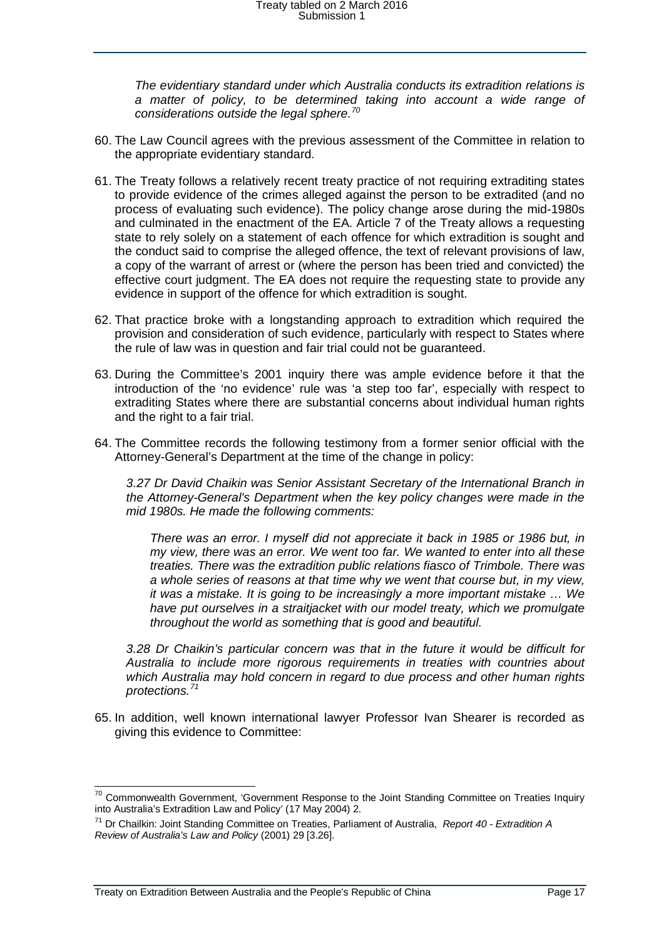*The evidentiary standard under which Australia conducts its extradition relations is a matter of policy, to be determined taking into account a wide range of considerations outside the legal sphere.[70](#page-16-0)*

- 60. The Law Council agrees with the previous assessment of the Committee in relation to the appropriate evidentiary standard.
- 61. The Treaty follows a relatively recent treaty practice of not requiring extraditing states to provide evidence of the crimes alleged against the person to be extradited (and no process of evaluating such evidence). The policy change arose during the mid-1980s and culminated in the enactment of the EA. Article 7 of the Treaty allows a requesting state to rely solely on a statement of each offence for which extradition is sought and the conduct said to comprise the alleged offence, the text of relevant provisions of law, a copy of the warrant of arrest or (where the person has been tried and convicted) the effective court judgment. The EA does not require the requesting state to provide any evidence in support of the offence for which extradition is sought.
- 62. That practice broke with a longstanding approach to extradition which required the provision and consideration of such evidence, particularly with respect to States where the rule of law was in question and fair trial could not be guaranteed.
- 63. During the Committee's 2001 inquiry there was ample evidence before it that the introduction of the 'no evidence' rule was 'a step too far', especially with respect to extraditing States where there are substantial concerns about individual human rights and the right to a fair trial.
- 64. The Committee records the following testimony from a former senior official with the Attorney-General's Department at the time of the change in policy:

*3.27 Dr David Chaikin was Senior Assistant Secretary of the International Branch in the Attorney-General's Department when the key policy changes were made in the mid 1980s. He made the following comments:*

*There was an error. I myself did not appreciate it back in 1985 or 1986 but, in my view, there was an error. We went too far. We wanted to enter into all these treaties. There was the extradition public relations fiasco of Trimbole. There was a whole series of reasons at that time why we went that course but, in my view, it was a mistake. It is going to be increasingly a more important mistake … We have put ourselves in a straitjacket with our model treaty, which we promulgate throughout the world as something that is good and beautiful.*

*3.28 Dr Chaikin's particular concern was that in the future it would be difficult for Australia to include more rigorous requirements in treaties with countries about which Australia may hold concern in regard to due process and other human rights protections. [71](#page-16-1)*

65. In addition, well known international lawyer Professor Ivan Shearer is recorded as giving this evidence to Committee:

<span id="page-16-0"></span><sup>&</sup>lt;sup>70</sup> Commonwealth Government, 'Government Response to the Joint Standing Committee on Treaties Inquiry into Australia's Extradition Law and Policy' (17 May 2004) 2.

<span id="page-16-1"></span><sup>71</sup> Dr Chailkin: Joint Standing Committee on Treaties, Parliament of Australia, *Report 40 - Extradition A Review of Australia's Law and Policy* (2001) 29 [3.26].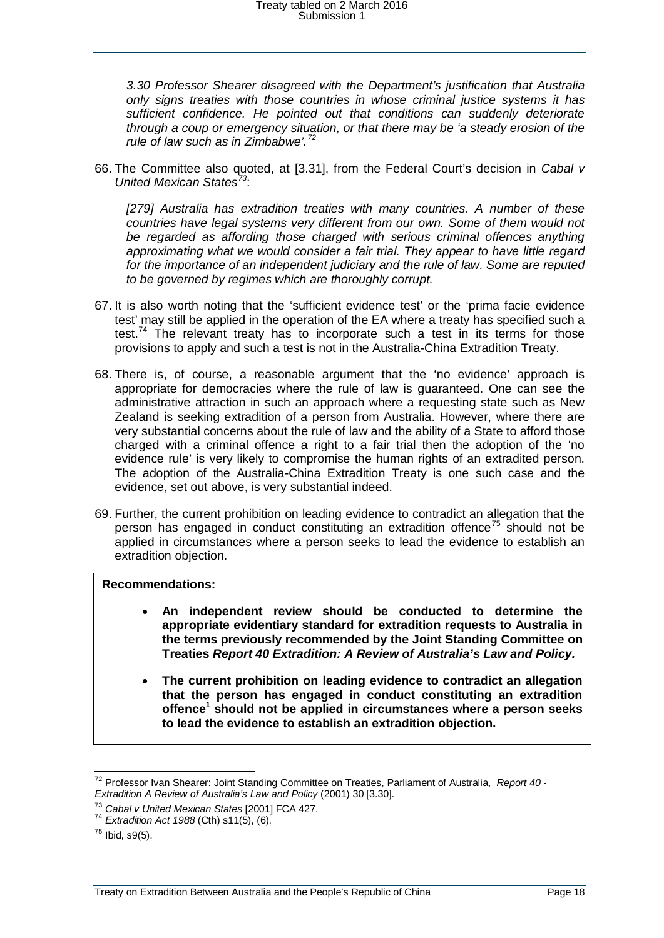*3.30 Professor Shearer disagreed with the Department's justification that Australia only signs treaties with those countries in whose criminal justice systems it has sufficient confidence. He pointed out that conditions can suddenly deteriorate through a coup or emergency situation, or that there may be 'a steady erosion of the rule of law such as in Zimbabwe'.[72](#page-17-0)*

66. The Committee also quoted, at [3.31], from the Federal Court's decision in *Cabal v United Mexican States[73](#page-17-1)*:

*[279] Australia has extradition treaties with many countries. A number of these countries have legal systems very different from our own. Some of them would not*  be regarded as affording those charged with serious criminal offences anything *approximating what we would consider a fair trial. They appear to have little regard for the importance of an independent judiciary and the rule of law. Some are reputed to be governed by regimes which are thoroughly corrupt.*

- 67. It is also worth noting that the 'sufficient evidence test' or the 'prima facie evidence test' may still be applied in the operation of the EA where a treaty has specified such a test.<sup>[74](#page-17-2)</sup> The relevant treaty has to incorporate such a test in its terms for those provisions to apply and such a test is not in the Australia-China Extradition Treaty.
- 68. There is, of course, a reasonable argument that the 'no evidence' approach is appropriate for democracies where the rule of law is guaranteed. One can see the administrative attraction in such an approach where a requesting state such as New Zealand is seeking extradition of a person from Australia. However, where there are very substantial concerns about the rule of law and the ability of a State to afford those charged with a criminal offence a right to a fair trial then the adoption of the 'no evidence rule' is very likely to compromise the human rights of an extradited person. The adoption of the Australia-China Extradition Treaty is one such case and the evidence, set out above, is very substantial indeed.
- 69. Further, the current prohibition on leading evidence to contradict an allegation that the person has engaged in conduct constituting an extradition offence<sup>[75](#page-17-3)</sup> should not be applied in circumstances where a person seeks to lead the evidence to establish an extradition objection.

#### **Recommendations:**

- **An independent review should be conducted to determine the appropriate evidentiary standard for extradition requests to Australia in the terms previously recommended by the Joint Standing Committee on Treaties** *Report 40 Extradition: A Review of Australia's Law and Policy.*
- **The current prohibition on leading evidence to contradict an allegation that the person has engaged in conduct constituting an extradition offence1 should not be applied in circumstances where a person seeks to lead the evidence to establish an extradition objection.**

<span id="page-17-0"></span> <sup>72</sup> Professor Ivan Shearer: Joint Standing Committee on Treaties, Parliament of Australia, *Report 40 - Extradition A Review of Australia's Law and Policy* (2001) 30 [3.30].

<span id="page-17-1"></span><sup>&</sup>lt;sup>73</sup> Cabal v United Mexican States [2001] FCA 427.<br><sup>74</sup> *Extradition Act 1988* (Cth) s11(5), (6).

<span id="page-17-3"></span><span id="page-17-2"></span> $75$  Ibid, s9(5).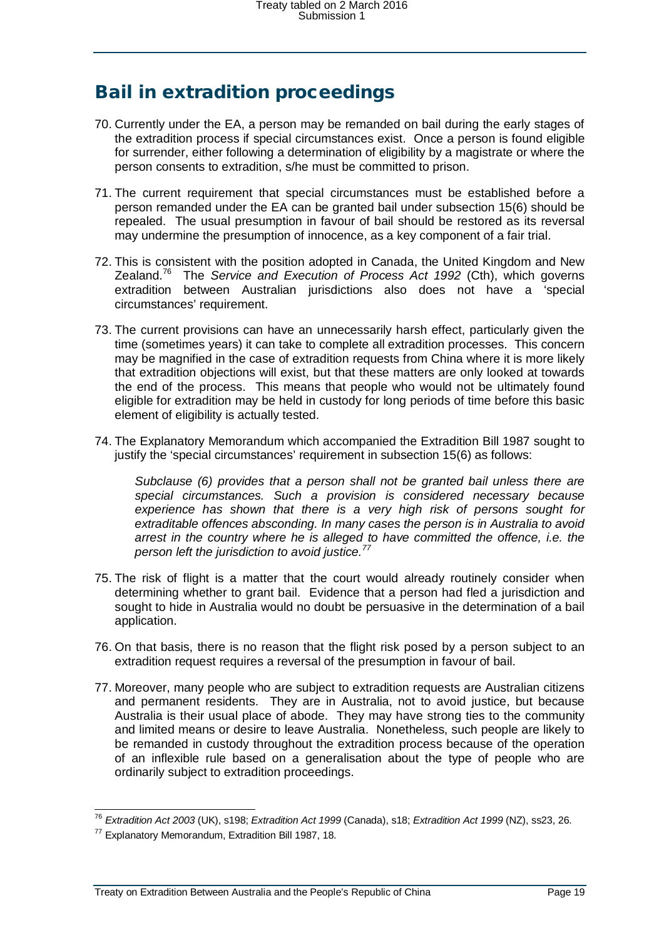# <span id="page-18-0"></span>Bail in extradition proceedings

- 70. Currently under the EA, a person may be remanded on bail during the early stages of the extradition process if special circumstances exist. Once a person is found eligible for surrender, either following a determination of eligibility by a magistrate or where the person consents to extradition, s/he must be committed to prison.
- 71. The current requirement that special circumstances must be established before a person remanded under the EA can be granted bail under subsection 15(6) should be repealed. The usual presumption in favour of bail should be restored as its reversal may undermine the presumption of innocence, as a key component of a fair trial.
- 72. This is consistent with the position adopted in Canada, the United Kingdom and New Zealand.[76](#page-18-1) The *Service and Execution of Process Act 1992* (Cth), which governs extradition between Australian jurisdictions also does not have a 'special circumstances' requirement.
- 73. The current provisions can have an unnecessarily harsh effect, particularly given the time (sometimes years) it can take to complete all extradition processes. This concern may be magnified in the case of extradition requests from China where it is more likely that extradition objections will exist, but that these matters are only looked at towards the end of the process. This means that people who would not be ultimately found eligible for extradition may be held in custody for long periods of time before this basic element of eligibility is actually tested.
- 74. The Explanatory Memorandum which accompanied the Extradition Bill 1987 sought to justify the 'special circumstances' requirement in subsection 15(6) as follows:

*Subclause (6) provides that a person shall not be granted bail unless there are special circumstances. Such a provision is considered necessary because experience has shown that there is a very high risk of persons sought for extraditable offences absconding. In many cases the person is in Australia to avoid arrest in the country where he is alleged to have committed the offence, i.e. the person left the jurisdiction to avoid justice.[77](#page-18-2)*

- 75. The risk of flight is a matter that the court would already routinely consider when determining whether to grant bail. Evidence that a person had fled a jurisdiction and sought to hide in Australia would no doubt be persuasive in the determination of a bail application.
- 76. On that basis, there is no reason that the flight risk posed by a person subject to an extradition request requires a reversal of the presumption in favour of bail.
- 77. Moreover, many people who are subject to extradition requests are Australian citizens and permanent residents. They are in Australia, not to avoid justice, but because Australia is their usual place of abode. They may have strong ties to the community and limited means or desire to leave Australia. Nonetheless, such people are likely to be remanded in custody throughout the extradition process because of the operation of an inflexible rule based on a generalisation about the type of people who are ordinarily subject to extradition proceedings.

 <sup>76</sup> *Extradition Act 2003* (UK), s198; *Extradition Act 1999* (Canada), s18; *Extradition Act 1999* (NZ), ss23, 26.

<span id="page-18-2"></span><span id="page-18-1"></span><sup>77</sup> Explanatory Memorandum, Extradition Bill 1987, 18.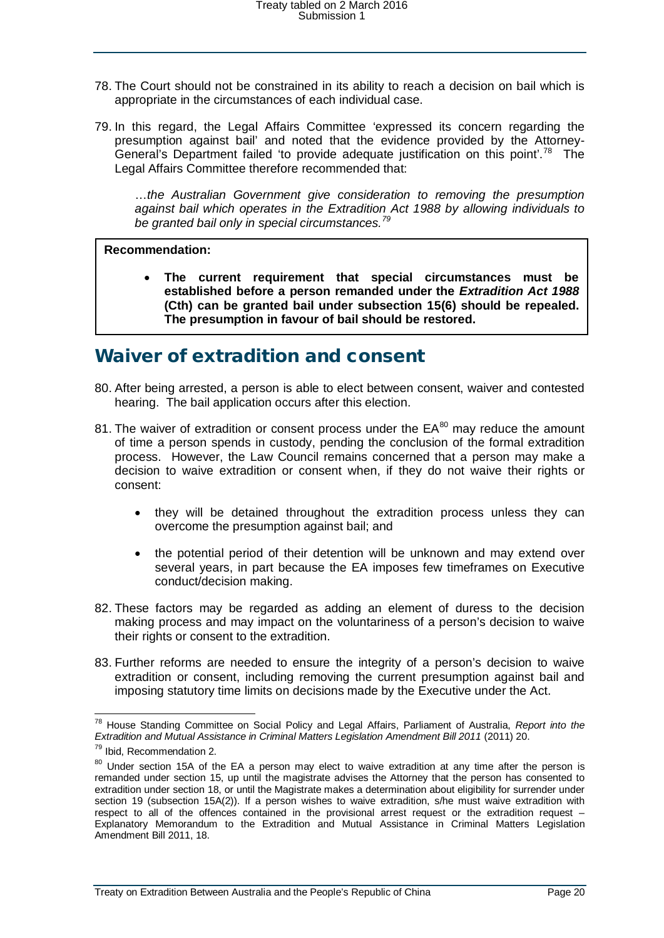- 78. The Court should not be constrained in its ability to reach a decision on bail which is appropriate in the circumstances of each individual case.
- 79. In this regard, the Legal Affairs Committee 'expressed its concern regarding the presumption against bail' and noted that the evidence provided by the Attorney-General's Department failed 'to provide adequate justification on this point'.<sup>[78](#page-19-1)</sup> The Legal Affairs Committee therefore recommended that:

…*the Australian Government give consideration to removing the presumption against bail which operates in the Extradition Act 1988 by allowing individuals to be granted bail only in special circumstances.[79](#page-19-2)*

#### **Recommendation:**

• **The current requirement that special circumstances must be established before a person remanded under the** *Extradition Act 1988* **(Cth) can be granted bail under subsection 15(6) should be repealed. The presumption in favour of bail should be restored.**

### <span id="page-19-0"></span>Waiver of extradition and consent

- 80. After being arrested, a person is able to elect between consent, waiver and contested hearing. The bail application occurs after this election.
- 81. The waiver of extradition or consent process under the  $EA^{80}$  $EA^{80}$  $EA^{80}$  may reduce the amount of time a person spends in custody, pending the conclusion of the formal extradition process. However, the Law Council remains concerned that a person may make a decision to waive extradition or consent when, if they do not waive their rights or consent:
	- they will be detained throughout the extradition process unless they can overcome the presumption against bail; and
	- the potential period of their detention will be unknown and may extend over several years, in part because the EA imposes few timeframes on Executive conduct/decision making.
- 82. These factors may be regarded as adding an element of duress to the decision making process and may impact on the voluntariness of a person's decision to waive their rights or consent to the extradition.
- 83. Further reforms are needed to ensure the integrity of a person's decision to waive extradition or consent, including removing the current presumption against bail and imposing statutory time limits on decisions made by the Executive under the Act.

<span id="page-19-1"></span> <sup>78</sup> House Standing Committee on Social Policy and Legal Affairs, Parliament of Australia, *Report into the Extradition and Mutual Assistance in Criminal Matters Legislation Amendment Bill 2011* (2011) 20.

<sup>79</sup> Ibid, Recommendation 2.

<span id="page-19-3"></span><span id="page-19-2"></span><sup>&</sup>lt;sup>80</sup> Under section 15A of the EA a person may elect to waive extradition at any time after the person is remanded under section 15, up until the magistrate advises the Attorney that the person has consented to extradition under section 18, or until the Magistrate makes a determination about eligibility for surrender under section 19 (subsection 15A(2)). If a person wishes to waive extradition, s/he must waive extradition with respect to all of the offences contained in the provisional arrest request or the extradition request – Explanatory Memorandum to the Extradition and Mutual Assistance in Criminal Matters Legislation Amendment Bill 2011, 18.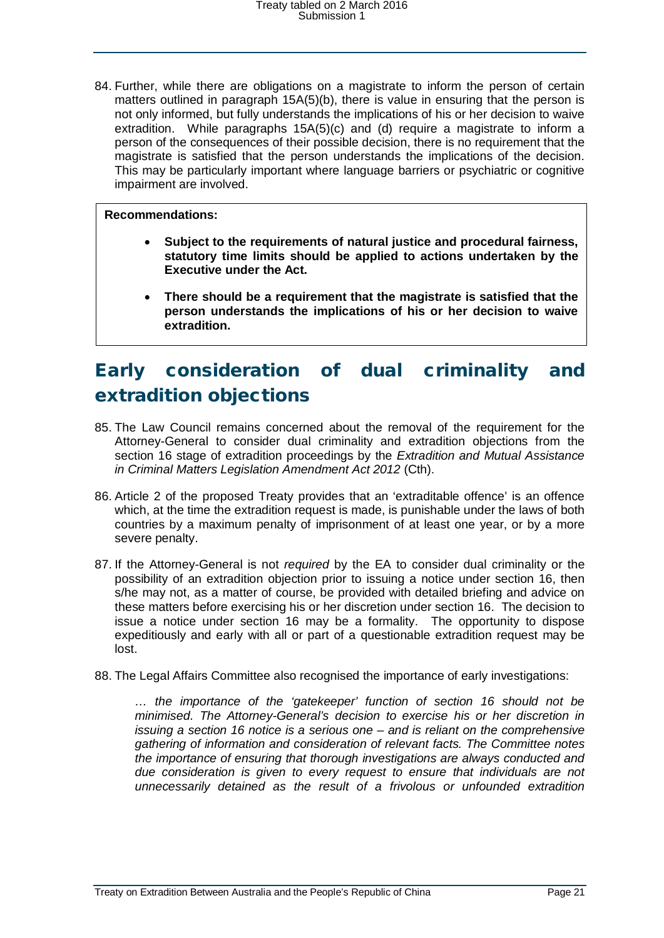84. Further, while there are obligations on a magistrate to inform the person of certain matters outlined in paragraph 15A(5)(b), there is value in ensuring that the person is not only informed, but fully understands the implications of his or her decision to waive extradition. While paragraphs 15A(5)(c) and (d) require a magistrate to inform a person of the consequences of their possible decision, there is no requirement that the magistrate is satisfied that the person understands the implications of the decision. This may be particularly important where language barriers or psychiatric or cognitive impairment are involved.

#### **Recommendations:**

- **Subject to the requirements of natural justice and procedural fairness, statutory time limits should be applied to actions undertaken by the Executive under the Act.**
- **There should be a requirement that the magistrate is satisfied that the person understands the implications of his or her decision to waive extradition.**

# <span id="page-20-0"></span>Early consideration of dual criminality and extradition objections

- 85. The Law Council remains concerned about the removal of the requirement for the Attorney-General to consider dual criminality and extradition objections from the section 16 stage of extradition proceedings by the *Extradition and Mutual Assistance in Criminal Matters Legislation Amendment Act 2012* (Cth).
- 86. Article 2 of the proposed Treaty provides that an 'extraditable offence' is an offence which, at the time the extradition request is made, is punishable under the laws of both countries by a maximum penalty of imprisonment of at least one year, or by a more severe penalty.
- 87. If the Attorney-General is not *required* by the EA to consider dual criminality or the possibility of an extradition objection prior to issuing a notice under section 16, then s/he may not, as a matter of course, be provided with detailed briefing and advice on these matters before exercising his or her discretion under section 16. The decision to issue a notice under section 16 may be a formality. The opportunity to dispose expeditiously and early with all or part of a questionable extradition request may be lost.
- 88. The Legal Affairs Committee also recognised the importance of early investigations:

*… the importance of the 'gatekeeper' function of section 16 should not be minimised. The Attorney-General's decision to exercise his or her discretion in issuing a section 16 notice is a serious one – and is reliant on the comprehensive gathering of information and consideration of relevant facts. The Committee notes the importance of ensuring that thorough investigations are always conducted and due consideration is given to every request to ensure that individuals are not unnecessarily detained as the result of a frivolous or unfounded extradition*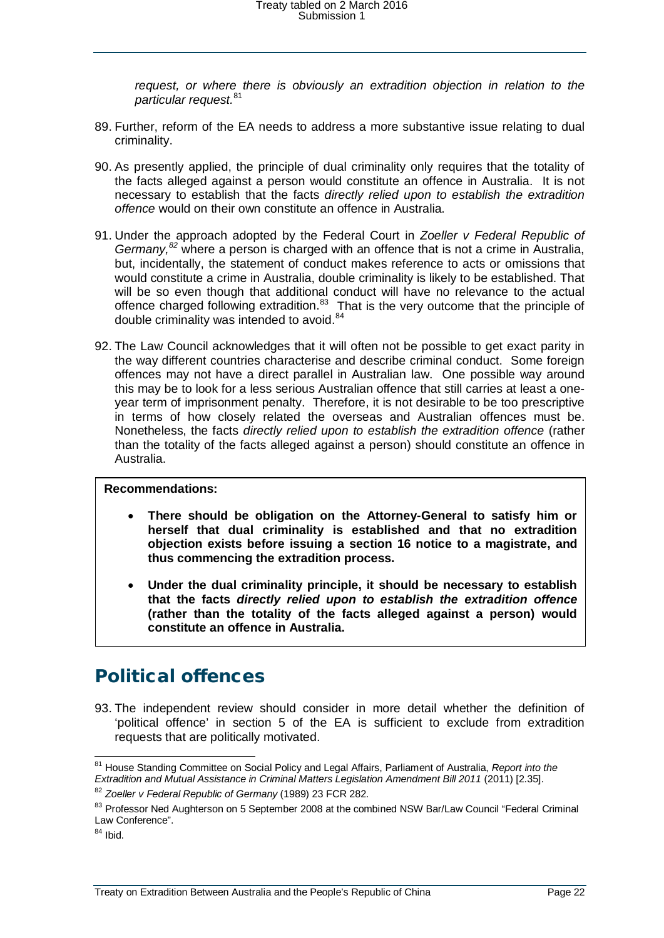*request, or where there is obviously an extradition objection in relation to the particular request.*[81](#page-21-1)

- 89. Further, reform of the EA needs to address a more substantive issue relating to dual criminality.
- 90. As presently applied, the principle of dual criminality only requires that the totality of the facts alleged against a person would constitute an offence in Australia. It is not necessary to establish that the facts *directly relied upon to establish the extradition offence* would on their own constitute an offence in Australia.
- 91. Under the approach adopted by the Federal Court in *Zoeller v Federal Republic of Germany, [82](#page-21-2)* where a person is charged with an offence that is not a crime in Australia, but, incidentally, the statement of conduct makes reference to acts or omissions that would constitute a crime in Australia, double criminality is likely to be established. That will be so even though that additional conduct will have no relevance to the actual offence charged following extradition.<sup>83</sup> That is the very outcome that the principle of double criminality was intended to avoid.<sup>[84](#page-21-4)</sup>
- 92. The Law Council acknowledges that it will often not be possible to get exact parity in the way different countries characterise and describe criminal conduct. Some foreign offences may not have a direct parallel in Australian law. One possible way around this may be to look for a less serious Australian offence that still carries at least a oneyear term of imprisonment penalty. Therefore, it is not desirable to be too prescriptive in terms of how closely related the overseas and Australian offences must be. Nonetheless, the facts *directly relied upon to establish the extradition offence* (rather than the totality of the facts alleged against a person) should constitute an offence in Australia.

#### **Recommendations:**

- **There should be obligation on the Attorney-General to satisfy him or herself that dual criminality is established and that no extradition objection exists before issuing a section 16 notice to a magistrate, and thus commencing the extradition process.**
- **Under the dual criminality principle, it should be necessary to establish that the facts** *directly relied upon to establish the extradition offence* **(rather than the totality of the facts alleged against a person) would constitute an offence in Australia.**

### <span id="page-21-0"></span>Political offences

93. The independent review should consider in more detail whether the definition of 'political offence' in section 5 of the EA is sufficient to exclude from extradition requests that are politically motivated.

<span id="page-21-4"></span> $84$  Ibid.

<span id="page-21-1"></span> <sup>81</sup> House Standing Committee on Social Policy and Legal Affairs, Parliament of Australia, *Report into the Extradition and Mutual Assistance in Criminal Matters Legislation Amendment Bill 2011* (2011) [2.35].

<span id="page-21-2"></span><sup>82</sup> *Zoeller v Federal Republic of Germany* (1989) 23 FCR 282.

<span id="page-21-3"></span><sup>83</sup> Professor Ned Aughterson on 5 September 2008 at the combined NSW Bar/Law Council "Federal Criminal Law Conference".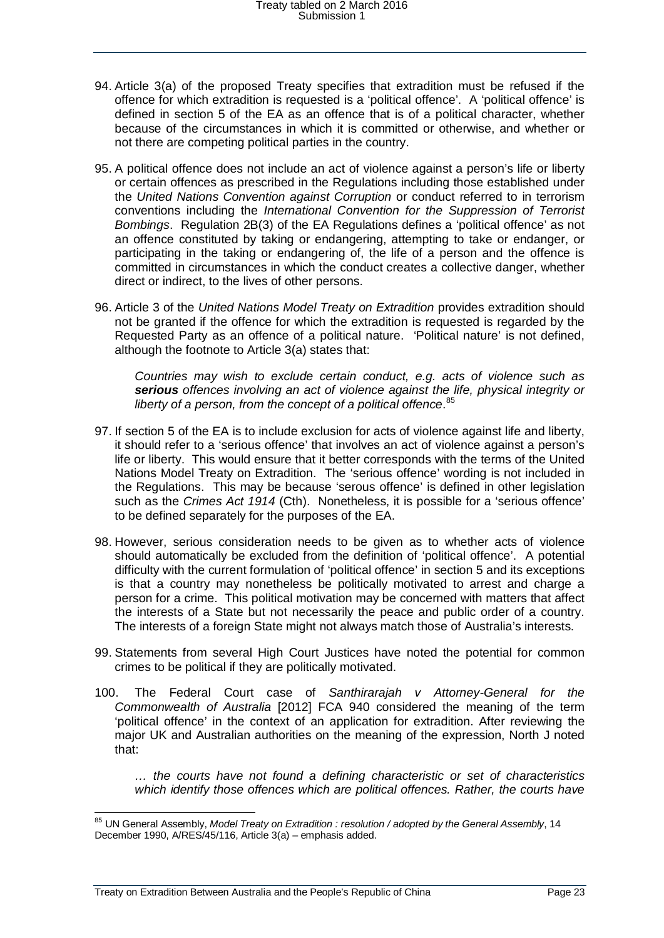- 94. Article 3(a) of the proposed Treaty specifies that extradition must be refused if the offence for which extradition is requested is a 'political offence'. A 'political offence' is defined in section 5 of the EA as an offence that is of a political character, whether because of the circumstances in which it is committed or otherwise, and whether or not there are competing political parties in the country.
- 95. A political offence does not include an act of violence against a person's life or liberty or certain offences as prescribed in the Regulations including those established under the *United Nations Convention against Corruption* or conduct referred to in terrorism conventions including the *International Convention for the Suppression of Terrorist Bombings*. Regulation 2B(3) of the EA Regulations defines a 'political offence' as not an offence constituted by taking or endangering, attempting to take or endanger, or participating in the taking or endangering of, the life of a person and the offence is committed in circumstances in which the conduct creates a collective danger, whether direct or indirect, to the lives of other persons.
- 96. Article 3 of the *United Nations Model Treaty on Extradition* provides extradition should not be granted if the offence for which the extradition is requested is regarded by the Requested Party as an offence of a political nature. 'Political nature' is not defined, although the footnote to Article 3(a) states that:

*Countries may wish to exclude certain conduct, e.g. acts of violence such as serious offences involving an act of violence against the life, physical integrity or liberty of a person, from the concept of a political offence*. [85](#page-22-0)

- 97. If section 5 of the EA is to include exclusion for acts of violence against life and liberty, it should refer to a 'serious offence' that involves an act of violence against a person's life or liberty. This would ensure that it better corresponds with the terms of the United Nations Model Treaty on Extradition. The 'serious offence' wording is not included in the Regulations. This may be because 'serous offence' is defined in other legislation such as the *Crimes Act 1914* (Cth). Nonetheless, it is possible for a 'serious offence' to be defined separately for the purposes of the EA.
- 98. However, serious consideration needs to be given as to whether acts of violence should automatically be excluded from the definition of 'political offence'. A potential difficulty with the current formulation of 'political offence' in section 5 and its exceptions is that a country may nonetheless be politically motivated to arrest and charge a person for a crime. This political motivation may be concerned with matters that affect the interests of a State but not necessarily the peace and public order of a country. The interests of a foreign State might not always match those of Australia's interests.
- 99. Statements from several High Court Justices have noted the potential for common crimes to be political if they are politically motivated.
- 100. The Federal Court case of *Santhirarajah v Attorney-General for the Commonwealth of Australia* [2012] FCA 940 considered the meaning of the term 'political offence' in the context of an application for extradition. After reviewing the major UK and Australian authorities on the meaning of the expression, North J noted that:

*… the courts have not found a defining characteristic or set of characteristics which identify those offences which are political offences. Rather, the courts have* 

<span id="page-22-0"></span> <sup>85</sup> UN General Assembly, *Model Treaty on Extradition : resolution / adopted by the General Assembly*, 14 December 1990, A/RES/45/116, Article 3(a) – emphasis added.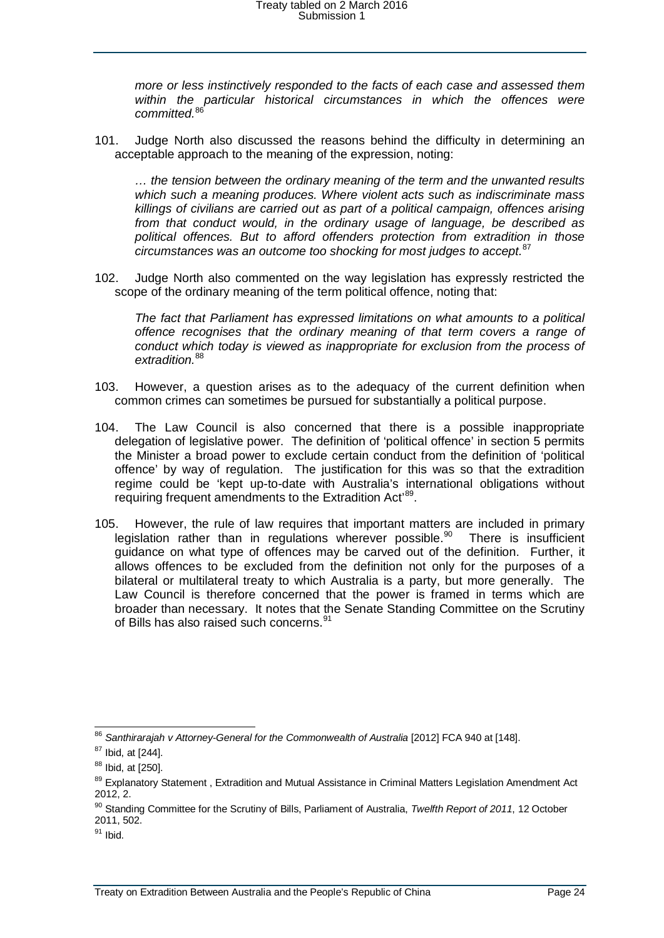*more or less instinctively responded to the facts of each case and assessed them*  within the particular historical circumstances in which the offences were *committed.*[86](#page-23-0)

101. Judge North also discussed the reasons behind the difficulty in determining an acceptable approach to the meaning of the expression, noting:

*… the tension between the ordinary meaning of the term and the unwanted results which such a meaning produces. Where violent acts such as indiscriminate mass killings of civilians are carried out as part of a political campaign, offences arising from that conduct would, in the ordinary usage of language, be described as political offences. But to afford offenders protection from extradition in those circumstances was an outcome too shocking for most judges to accept.*[87](#page-23-1)

102. Judge North also commented on the way legislation has expressly restricted the scope of the ordinary meaning of the term political offence, noting that:

*The fact that Parliament has expressed limitations on what amounts to a political offence recognises that the ordinary meaning of that term covers a range of conduct which today is viewed as inappropriate for exclusion from the process of extradition.*[88](#page-23-2)

- 103. However, a question arises as to the adequacy of the current definition when common crimes can sometimes be pursued for substantially a political purpose.
- 104. The Law Council is also concerned that there is a possible inappropriate delegation of legislative power. The definition of 'political offence' in section 5 permits the Minister a broad power to exclude certain conduct from the definition of 'political offence' by way of regulation. The justification for this was so that the extradition regime could be 'kept up-to-date with Australia's international obligations without requiring frequent amendments to the Extradition Act<sup>[89](#page-23-3)</sup>.
- 105. However, the rule of law requires that important matters are included in primary legislation rather than in regulations wherever possible.<sup>90</sup> There is insufficient guidance on what type of offences may be carved out of the definition. Further, it allows offences to be excluded from the definition not only for the purposes of a bilateral or multilateral treaty to which Australia is a party, but more generally. The Law Council is therefore concerned that the power is framed in terms which are broader than necessary. It notes that the Senate Standing Committee on the Scrutiny of Bills has also raised such concerns.<sup>[91](#page-23-5)</sup>

<span id="page-23-0"></span> <sup>86</sup> *Santhirarajah v Attorney-General for the Commonwealth of Australia* [2012] FCA 940 at [148].

<span id="page-23-1"></span> $87$  Ibid, at [244].

<span id="page-23-2"></span><sup>88</sup> Ibid, at [250].

<span id="page-23-3"></span><sup>&</sup>lt;sup>89</sup> Explanatory Statement , Extradition and Mutual Assistance in Criminal Matters Legislation Amendment Act 2012, 2.

<span id="page-23-4"></span><sup>90</sup> Standing Committee for the Scrutiny of Bills, Parliament of Australia, *Twelfth Report of 2011*, 12 October 2011, 502.

<span id="page-23-5"></span> $91$  Ibid.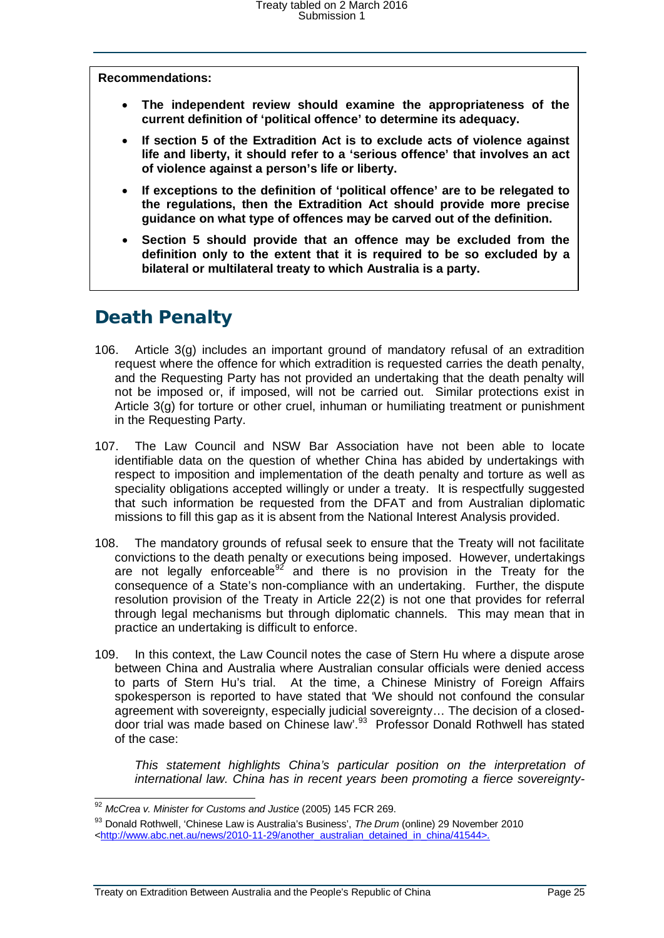**Recommendations:**

- **The independent review should examine the appropriateness of the current definition of 'political offence' to determine its adequacy.**
- **If section 5 of the Extradition Act is to exclude acts of violence against life and liberty, it should refer to a 'serious offence' that involves an act of violence against a person's life or liberty.**
- **If exceptions to the definition of 'political offence' are to be relegated to the regulations, then the Extradition Act should provide more precise guidance on what type of offences may be carved out of the definition.**
- **Section 5 should provide that an offence may be excluded from the definition only to the extent that it is required to be so excluded by a bilateral or multilateral treaty to which Australia is a party.**

# <span id="page-24-0"></span>Death Penalty

- 106. Article 3(g) includes an important ground of mandatory refusal of an extradition request where the offence for which extradition is requested carries the death penalty, and the Requesting Party has not provided an undertaking that the death penalty will not be imposed or, if imposed, will not be carried out. Similar protections exist in Article 3(g) for torture or other cruel, inhuman or humiliating treatment or punishment in the Requesting Party.
- 107. The Law Council and NSW Bar Association have not been able to locate identifiable data on the question of whether China has abided by undertakings with respect to imposition and implementation of the death penalty and torture as well as speciality obligations accepted willingly or under a treaty. It is respectfully suggested that such information be requested from the DFAT and from Australian diplomatic missions to fill this gap as it is absent from the National Interest Analysis provided.
- 108. The mandatory grounds of refusal seek to ensure that the Treaty will not facilitate convictions to the death penalty or executions being imposed. However, undertakings are not legally enforceable<sup>[92](#page-24-1)</sup> and there is no provision in the Treaty for the consequence of a State's non-compliance with an undertaking. Further, the dispute resolution provision of the Treaty in Article 22(2) is not one that provides for referral through legal mechanisms but through diplomatic channels. This may mean that in practice an undertaking is difficult to enforce.
- 109. In this context, the Law Council notes the case of Stern Hu where a dispute arose between China and Australia where Australian consular officials were denied access to parts of Stern Hu's trial. At the time, a Chinese Ministry of Foreign Affairs spokesperson is reported to have stated that 'We should not confound the consular agreement with sovereignty, especially judicial sovereignty… The decision of a closeddoor trial was made based on Chinese law'.[93](#page-24-2) Professor Donald Rothwell has stated of the case:

*This statement highlights China's particular position on the interpretation of international law. China has in recent years been promoting a fierce sovereignty-*

<span id="page-24-1"></span> <sup>92</sup> *McCrea v. Minister for Customs and Justice* (2005) 145 FCR 269.

<span id="page-24-2"></span><sup>93</sup> Donald Rothwell, 'Chinese Law is Australia's Business', *The Drum* (online) 29 November 2010

[<sup>&</sup>lt;http://www.abc.net.au/news/2010-11-29/another\\_australian\\_detained\\_in\\_china/41544>](http://www.abc.net.au/news/2010-11-29/another_australian_detained_in_china/41544).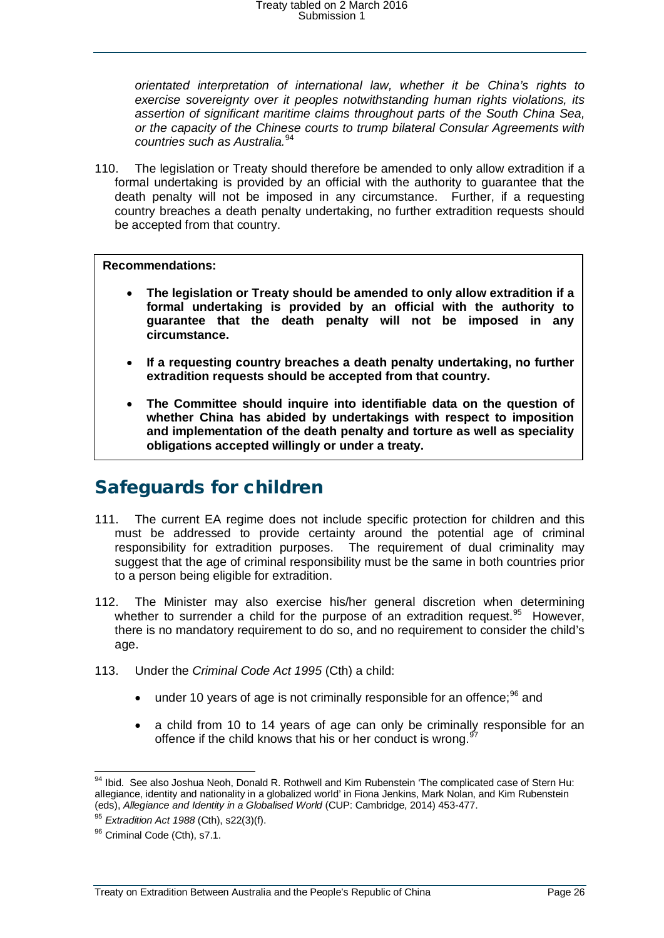*orientated interpretation of international law, whether it be China's rights to exercise sovereignty over it peoples notwithstanding human rights violations, its assertion of significant maritime claims throughout parts of the South China Sea, or the capacity of the Chinese courts to trump bilateral Consular Agreements with countries such as Australia.*[94](#page-25-1)

110. The legislation or Treaty should therefore be amended to only allow extradition if a formal undertaking is provided by an official with the authority to guarantee that the death penalty will not be imposed in any circumstance. Further, if a requesting country breaches a death penalty undertaking, no further extradition requests should be accepted from that country.

#### **Recommendations:**

- **The legislation or Treaty should be amended to only allow extradition if a formal undertaking is provided by an official with the authority to guarantee that the death penalty will not be imposed in any circumstance.**
- **If a requesting country breaches a death penalty undertaking, no further extradition requests should be accepted from that country.**
- **The Committee should inquire into identifiable data on the question of whether China has abided by undertakings with respect to imposition and implementation of the death penalty and torture as well as speciality obligations accepted willingly or under a treaty.**

### <span id="page-25-0"></span>Safeguards for children

- 111. The current EA regime does not include specific protection for children and this must be addressed to provide certainty around the potential age of criminal responsibility for extradition purposes. The requirement of dual criminality may suggest that the age of criminal responsibility must be the same in both countries prior to a person being eligible for extradition.
- 112. The Minister may also exercise his/her general discretion when determining whether to surrender a child for the purpose of an extradition request. <sup>[95](#page-25-2)</sup> However. there is no mandatory requirement to do so, and no requirement to consider the child's age.
- 113. Under the *Criminal Code Act 1995* (Cth) a child:
	- under 10 years of age is not criminally responsible for an offence; $96$  and
	- a child from 10 to 14 years of age can only be criminally responsible for an offence if the child knows that his or her conduct is wrong.<sup>9</sup>

<span id="page-25-1"></span><sup>94</sup> Ibid. See also Joshua Neoh, Donald R. Rothwell and Kim Rubenstein 'The complicated case of Stern Hu: allegiance, identity and nationality in a globalized world' in Fiona Jenkins, Mark Nolan, and Kim Rubenstein (eds), *Allegiance and Identity in a Globalised World* (CUP: Cambridge, 2014) 453-477.

<sup>95</sup> *Extradition Act 1988* (Cth), s22(3)(f).

<span id="page-25-3"></span><span id="page-25-2"></span><sup>96</sup> Criminal Code (Cth), s7.1.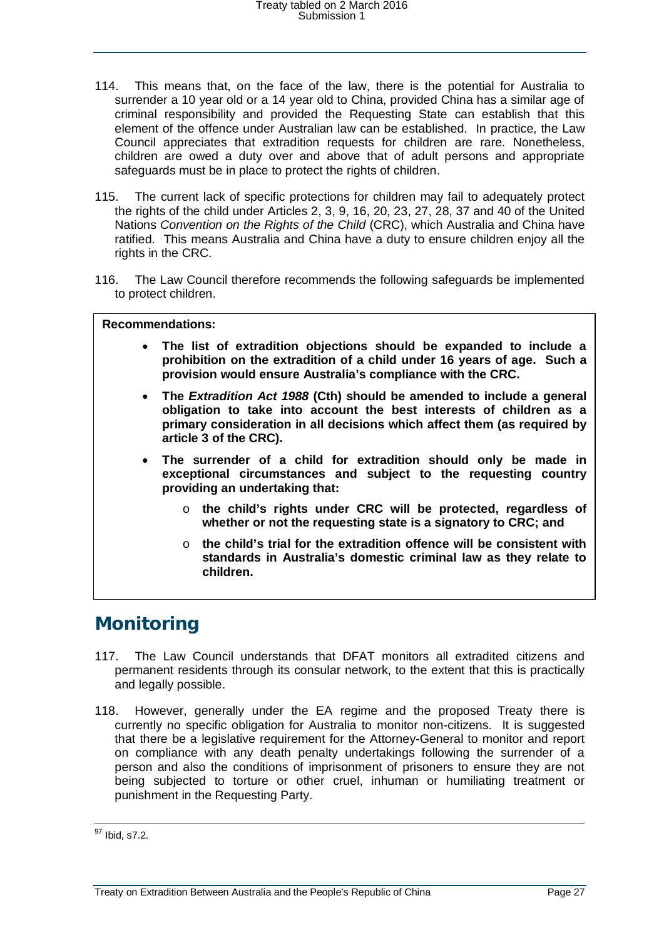- 114. This means that, on the face of the law, there is the potential for Australia to surrender a 10 year old or a 14 year old to China, provided China has a similar age of criminal responsibility and provided the Requesting State can establish that this element of the offence under Australian law can be established. In practice, the Law Council appreciates that extradition requests for children are rare. Nonetheless, children are owed a duty over and above that of adult persons and appropriate safeguards must be in place to protect the rights of children.
- 115. The current lack of specific protections for children may fail to adequately protect the rights of the child under Articles 2, 3, 9, 16, 20, 23, 27, 28, 37 and 40 of the United Nations *Convention on the Rights of the Child* (CRC), which Australia and China have ratified. This means Australia and China have a duty to ensure children enjoy all the rights in the CRC.
- 116. The Law Council therefore recommends the following safeguards be implemented to protect children.

#### **Recommendations:**

- **The list of extradition objections should be expanded to include a prohibition on the extradition of a child under 16 years of age. Such a provision would ensure Australia's compliance with the CRC.**
- **The** *Extradition Act 1988* **(Cth) should be amended to include a general obligation to take into account the best interests of children as a primary consideration in all decisions which affect them (as required by article 3 of the CRC).**
- **The surrender of a child for extradition should only be made in exceptional circumstances and subject to the requesting country providing an undertaking that:**
	- o **the child's rights under CRC will be protected, regardless of whether or not the requesting state is a signatory to CRC; and**
	- o **the child's trial for the extradition offence will be consistent with standards in Australia's domestic criminal law as they relate to children.**

### <span id="page-26-0"></span>**Monitoring**

- 117. The Law Council understands that DFAT monitors all extradited citizens and permanent residents through its consular network, to the extent that this is practically and legally possible.
- 118. However, generally under the EA regime and the proposed Treaty there is currently no specific obligation for Australia to monitor non-citizens. It is suggested that there be a legislative requirement for the Attorney-General to monitor and report on compliance with any death penalty undertakings following the surrender of a person and also the conditions of imprisonment of prisoners to ensure they are not being subjected to torture or other cruel, inhuman or humiliating treatment or punishment in the Requesting Party.

<sup>&</sup>lt;sup>97</sup> Ibid, s7.2.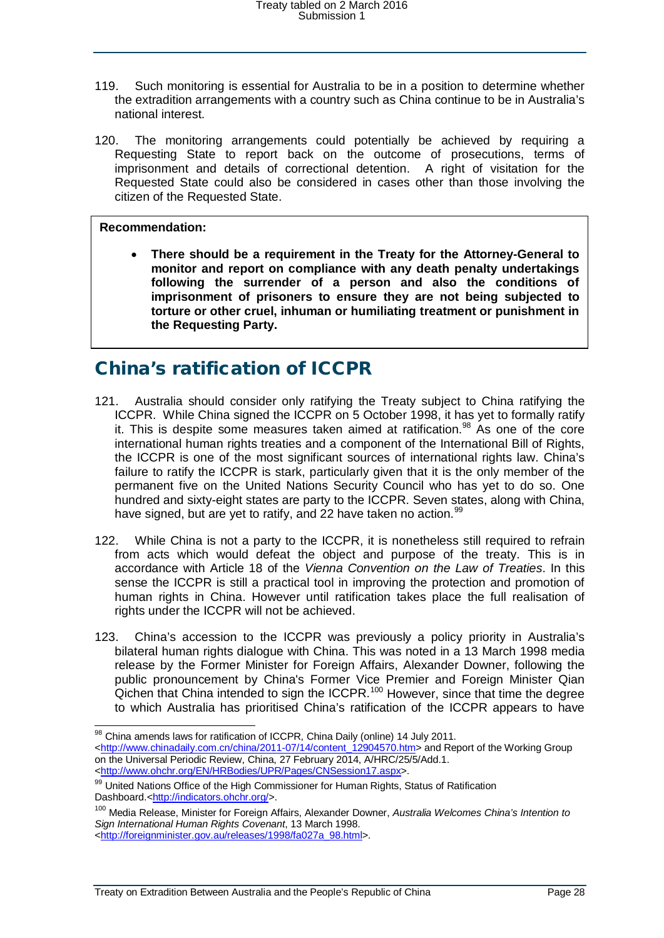- 119. Such monitoring is essential for Australia to be in a position to determine whether the extradition arrangements with a country such as China continue to be in Australia's national interest.
- 120. The monitoring arrangements could potentially be achieved by requiring a Requesting State to report back on the outcome of prosecutions, terms of imprisonment and details of correctional detention. A right of visitation for the Requested State could also be considered in cases other than those involving the citizen of the Requested State.

#### **Recommendation:**

• **There should be a requirement in the Treaty for the Attorney-General to monitor and report on compliance with any death penalty undertakings following the surrender of a person and also the conditions of imprisonment of prisoners to ensure they are not being subjected to torture or other cruel, inhuman or humiliating treatment or punishment in the Requesting Party.**

### <span id="page-27-0"></span>China's ratification of ICCPR

- 121. Australia should consider only ratifying the Treaty subject to China ratifying the ICCPR. While China signed the ICCPR on 5 October 1998, it has yet to formally ratify it. This is despite some measures taken aimed at ratification. [98](#page-27-1) As one of the core international human rights treaties and a component of the International Bill of Rights, the ICCPR is one of the most significant sources of international rights law. China's failure to ratify the ICCPR is stark, particularly given that it is the only member of the permanent five on the United Nations Security Council who has yet to do so. One hundred and sixty-eight states are party to the ICCPR. Seven states, along with China, have signed, but are yet to ratify, and 22 have taken no action.<sup>[99](#page-27-2)</sup>
- 122. While China is not a party to the ICCPR, it is nonetheless still required to refrain from acts which would defeat the object and purpose of the treaty. This is in accordance with Article 18 of the *Vienna Convention on the Law of Treaties*. In this sense the ICCPR is still a practical tool in improving the protection and promotion of human rights in China. However until ratification takes place the full realisation of rights under the ICCPR will not be achieved.
- 123. China's accession to the ICCPR was previously a policy priority in Australia's bilateral human rights dialogue with China. This was noted in a 13 March 1998 media release by the Former Minister for Foreign Affairs, Alexander Downer, following the public pronouncement by China's Former Vice Premier and Foreign Minister Qian Qichen that China intended to sign the ICCPR.[100](#page-27-3) However, since that time the degree to which Australia has prioritised China's ratification of the ICCPR appears to have

<span id="page-27-1"></span><sup>98</sup> China amends laws for ratification of ICCPR, China Daily (online) 14 July 2011. [<http://www.chinadaily.com.cn/china/2011-07/14/content\\_12904570.htm>](http://www.chinadaily.com.cn/china/2011-07/14/content_12904570.htm) and Report of the Working Group on the Universal Periodic Review, China, 27 February 2014, A/HRC/25/5/Add.1. [<http://www.ohchr.org/EN/HRBodies/UPR/Pages/CNSession17.aspx>](http://www.ohchr.org/EN/HRBodies/UPR/Pages/CNSession17.aspx).

<span id="page-27-2"></span><sup>99</sup> United Nations Office of the High Commissioner for Human Rights, Status of Ratification Dashboard.[<http://indicators.ohchr.org/>](http://indicators.ohchr.org/).

<span id="page-27-3"></span><sup>100</sup> Media Release, Minister for Foreign Affairs, Alexander Downer, *Australia Welcomes China's Intention to Sign International Human Rights Covenant*, 13 March 1998.

[<sup>&</sup>lt;http://foreignminister.gov.au/releases/1998/fa027a\\_98.html>](http://foreignminister.gov.au/releases/1998/fa027a_98.html).